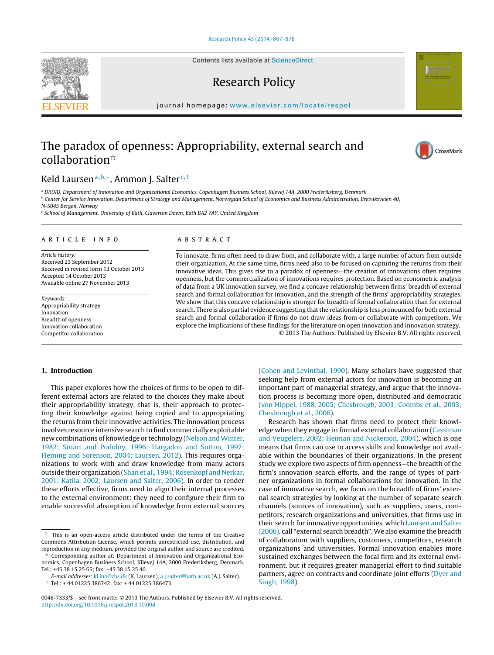Contents lists available at [ScienceDirect](http://www.sciencedirect.com/science/journal/00487333)

# Research Policy

iournal homepage: [www.elsevier.com/locate/respol](http://www.elsevier.com/locate/respol)

# The paradox of openness: Appropriability, external search and collaboration $\mathbb{\hat{}}$

# Keld Laursen<sup>a,b,∗</sup>, Ammon J. Salter<sup>c,1</sup>

<sup>a</sup> DRUID, Department of Innovation and Organizational Economics, Copenhagen Business School, Kilevej 14A, 2000 Frederiksberg, Denmark <sup>b</sup> Center for Service Innovation, Department of Strategy and Management, Norwegian School of Economics and Business Administration, Breiviksveien 40,

N-5045 Bergen, Norway

<sup>c</sup> School of Management, University of Bath, Claverton Down, Bath BA2 7AY, United Kingdom

# a r t i c l e i n f o

Article history: Received 23 September 2012 Received in revised form 13 October 2013 Accepted 14 October 2013 Available online 27 November 2013

Keywords: Appropriability strategy Innovation Breadth of openness Innovation collaboration Competitor collaboration

# A B S T R A C T

To innovate, firms often need to draw from, and collaborate with, a large number of actors from outside their organization. At the same time, firms need also to be focused on capturing the returns from their innovative ideas. This gives rise to a paradox of openness—the creation of innovations often requires openness, but the commercialization of innovations requires protection. Based on econometric analysis of data from a UK innovation survey, we find a concave relationship between firms' breadth of external search and formal collaboration for innovation, and the strength of the firms' appropriability strategies. We show that this concave relationship is stronger for breadth of formal collaboration than for external search. There is also partial evidence suggesting that the relationship is less pronounced for both external search and formal collaboration if firms do not draw ideas from or collaborate with competitors. We explore the implications of these findings for the literature on open innovation and innovation strategy. © 2013 The Authors. Published by Elsevier B.V. All rights reserved.

# **1. Introduction**

This paper explores how the choices of firms to be open to different external actors are related to the choices they make about their appropriability strategy, that is, their approach to protecting their knowledge against being copied and to appropriating the returns from their innovative activities. The innovation process involves resource intensive search to find commercially exploitable new combinations of knowledge or technology [\(Nelson](#page-11-0) and Winter, [1982;](#page-11-0) [Stuart](#page-11-0) [and](#page-11-0) [Podolny,](#page-11-0) [1996;](#page-11-0) [Hargadon](#page-11-0) [and](#page-11-0) [Sutton,](#page-11-0) [1997;](#page-11-0) [Fleming](#page-11-0) [and](#page-11-0) [Sorenson,](#page-11-0) [2004;](#page-11-0) [Laursen,](#page-11-0) [2012\).](#page-11-0) This requires organizations to work with and draw knowledge from many actors outside their organization ([Shan](#page-11-0) et [al.,](#page-11-0) [1994;](#page-11-0) [Rosenkopf](#page-11-0) [and](#page-11-0) [Nerkar,](#page-11-0) [2001;](#page-11-0) [Katila,](#page-11-0) [2002;](#page-11-0) [Laursen](#page-11-0) [and](#page-11-0) [Salter,](#page-11-0) [2006\).](#page-11-0) In order to render these efforts effective, firms need to align their internal processes to the external environment: they need to configure their firm to enable successful absorption of knowledge from external sources

<sup>1</sup> Tel.: + 44 01225 386742; fax: + 44 01225 386473.

0048-7333/\$ – see front matter © 2013 The Authors. Published by Elsevier B.V. All rights reserved. [http://dx.doi.org/10.1016/j.respol.2013.10.004](dx.doi.org/10.1016/j.respol.2013.10.004)

[\(Cohen](#page-10-0) [and](#page-10-0) [Levinthal,](#page-10-0) [1990\).](#page-10-0) Many scholars have suggested that seeking help from external actors for innovation is becoming an important part of managerial strategy, and argue that the innovation process is becoming more open, distributed and democratic [\(von](#page-11-0) [Hippel,](#page-11-0) [1988,](#page-11-0) [2005;](#page-11-0) [Chesbrough,](#page-11-0) [2003;](#page-11-0) [Coombs](#page-11-0) et [al.,](#page-11-0) [2003;](#page-11-0) [Chesbrough](#page-11-0) et [al.,](#page-11-0) [2006\).](#page-11-0)

Research has shown that firms need to protect their knowledge when they engage in formal external collaboration ([Cassiman](#page-10-0) [and](#page-10-0) [Veugelers,](#page-10-0) [2002;](#page-10-0) [Heiman](#page-10-0) [and](#page-10-0) [Nickerson,](#page-10-0) [2004\),](#page-10-0) which is one means that firms can use to access skills and knowledge not available within the boundaries of their organizations. In the present study we explore two aspects of firm openness—the breadth of the firm's innovation search efforts, and the range of types of partner organizations in formal collaborations for innovation. In the case of innovative search, we focus on the breadth of firms' external search strategies by looking at the number of separate search channels (sources of innovation), such as suppliers, users, competitors, research organizations and universities, that firms use in their search for innovative opportunities, which [Laursen](#page-11-0) [and](#page-11-0) [Salter](#page-11-0) [\(2006\),](#page-11-0) call "external search breadth".We also examine the breadth of collaboration with suppliers, customers, competitors, research organizations and universities. Formal innovation enables more sustained exchanges between the focal firm and its external environment, but it requires greater managerial effort to find suitable partners, agree on contracts and coordinate joint efforts [\(Dyer](#page-10-0) [and](#page-10-0) [Singh,](#page-10-0) [1998\).](#page-10-0)







 $\overrightarrow{x}$  This is an open-access article distributed under the terms of the Creative Commons Attribution License, which permits unrestricted use, distribution, and reproduction in any medium, provided the original author and source are credited.

Corresponding author at: Department of Innovation and Organizational Economics, Copenhagen Business School, Kilevej 14A, 2000 Frederiksberg, Denmark. Tel.: +45 38 15 25 65; fax: +45 38 15 25 40.

E-mail addresses: [kl.ino@cbs.dk](mailto:kl.ino@cbs.dk) (K. Laursen), [a.j.salter@bath.ac.uk](mailto:a.j.salter@bath.ac.uk) (A.J. Salter).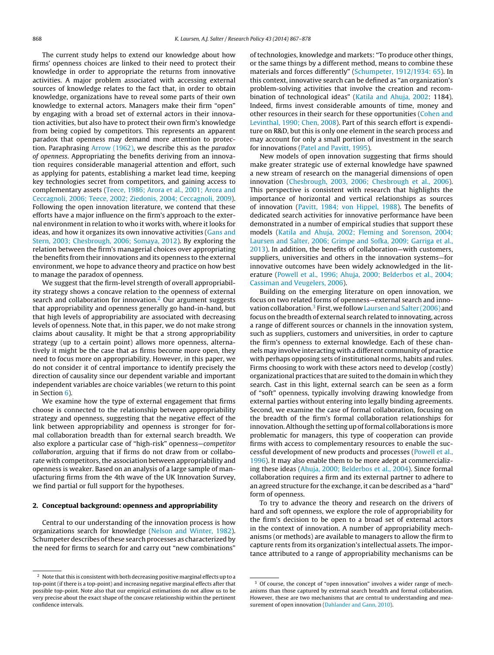The current study helps to extend our knowledge about how firms' openness choices are linked to their need to protect their knowledge in order to appropriate the returns from innovative activities. A major problem associated with accessing external sources of knowledge relates to the fact that, in order to obtain knowledge, organizations have to reveal some parts of their own knowledge to external actors. Managers make their firm "open" by engaging with a broad set of external actors in their innovation activities, but also have to protect their own firm's knowledge from being copied by competitors. This represents an apparent paradox that openness may demand more attention to protection. Paraphrasing [Arrow](#page-10-0) [\(1962\),](#page-10-0) we describe this as the paradox of openness. Appropriating the benefits deriving from an innovation requires considerable managerial attention and effort, such as applying for patents, establishing a market lead time, keeping key technologies secret from competitors, and gaining access to complementary assets [\(Teece,](#page-11-0) [1986;](#page-11-0) [Arora](#page-11-0) et [al.,](#page-11-0) [2001;](#page-11-0) [Arora](#page-11-0) [and](#page-11-0) [Ceccagnoli,](#page-11-0) [2006;](#page-11-0) [Teece,](#page-11-0) [2002;](#page-11-0) [Ziedonis,](#page-11-0) [2004;](#page-11-0) [Ceccagnoli,](#page-11-0) [2009\).](#page-11-0) Following the open innovation literature, we contend that these efforts have a major influence on the firm's approach to the external environment in relation to who it works with, where it looks for ideas, and how it organizes its own innovative activities [\(Gans](#page-10-0) [and](#page-10-0) [Stern,](#page-10-0) [2003;](#page-10-0) [Chesbrough,](#page-10-0) [2006;](#page-10-0) [Somaya,](#page-10-0) [2012\).](#page-10-0) By exploring the relation between the firm's managerial choices over appropriating the benefits from their innovations and its openness to the external environment, we hope to advance theory and practice on how best to manage the paradox of openness.

We suggest that the firm-level strength of overall appropriability strategy shows a concave relation to the openness of external search and collaboration for innovation.<sup>2</sup> Our argument suggests that appropriability and openness generally go hand-in-hand, but that high levels of appropriability are associated with decreasing levels of openness. Note that, in this paper, we do not make strong claims about causality. It might be that a strong appropriability strategy (up to a certain point) allows more openness, alternatively it might be the case that as firms become more open, they need to focus more on appropriability. However, in this paper, we do not consider it of central importance to identify precisely the direction of causality since our dependent variable and important independent variables are choice variables (we return to this point in Section [6\).](#page-9-0)

We examine how the type of external engagement that firms choose is connected to the relationship between appropriability strategy and openness, suggesting that the negative effect of the link between appropriability and openness is stronger for formal collaboration breadth than for external search breadth. We also explore a particular case of "high-risk" openness—competitor collaboration, arguing that if firms do not draw from or collaborate with competitors, the association between appropriability and openness is weaker. Based on an analysis of a large sample of manufacturing firms from the 4th wave of the UK Innovation Survey, we find partial or full support for the hypotheses.

# **2. Conceptual background: openness and appropriability**

Central to our understanding of the innovation process is how organizations search for knowledge ([Nelson](#page-11-0) [and](#page-11-0) [Winter,](#page-11-0) [1982\).](#page-11-0) Schumpeter describes of these search processes as characterized by the need for firms to search for and carry out "new combinations"

of technologies, knowledge and markets: "To produce other things, or the same things by a different method, means to combine these materials and forces differently" [\(Schumpeter,](#page-11-0) [1912/1934:](#page-11-0) [65\).](#page-11-0) In this context, innovative search can be defined as "an organization's problem-solving activities that involve the creation and recombination of technological ideas" [\(Katila](#page-11-0) [and](#page-11-0) [Ahuja,](#page-11-0) [2002:](#page-11-0) 1184). Indeed, firms invest considerable amounts of time, money and other resources in their search for these opportunities [\(Cohen](#page-10-0) [and](#page-10-0) [Levinthal,](#page-10-0) [1990;](#page-10-0) [Chen,](#page-10-0) [2008\).](#page-10-0) Part of this search effort is expenditure on R&D, but this is only one element in the search process and may account for only a small portion of investment in the search for innovations [\(Patel](#page-11-0) [and](#page-11-0) [Pavitt,](#page-11-0) [1995\).](#page-11-0)

New models of open innovation suggesting that firms should make greater strategic use of external knowledge have spawned a new stream of research on the managerial dimensions of open innovation ([Chesbrough,](#page-10-0) [2003,](#page-10-0) [2006;](#page-10-0) [Chesbrough](#page-10-0) et [al.,](#page-10-0) [2006\).](#page-10-0) This perspective is consistent with research that highlights the importance of horizontal and vertical relationships as sources of innovation [\(Pavitt,](#page-11-0) [1984;](#page-11-0) [von](#page-11-0) [Hippel,](#page-11-0) [1988\).](#page-11-0) The benefits of dedicated search activities for innovative performance have been demonstrated in a number of empirical studies that support these models ([Katila](#page-11-0) [and](#page-11-0) [Ahuja,](#page-11-0) [2002;](#page-11-0) [Fleming](#page-11-0) [and](#page-11-0) [Sorenson,](#page-11-0) [2004;](#page-11-0) [Laursen](#page-11-0) [and](#page-11-0) [Salter,](#page-11-0) [2006;](#page-11-0) [Grimpe](#page-11-0) [and](#page-11-0) [Sofka,](#page-11-0) [2009;](#page-11-0) [Garriga](#page-11-0) et [al.,](#page-11-0) [2013\).](#page-11-0) In addition, the benefits of collaboration—with customers, suppliers, universities and others in the innovation systems—for innovative outcomes have been widely acknowledged in the literature [\(Powell](#page-11-0) et [al.,](#page-11-0) [1996;](#page-11-0) [Ahuja,](#page-11-0) [2000;](#page-11-0) [Belderbos](#page-11-0) et [al.,](#page-11-0) [2004;](#page-11-0) [Cassiman](#page-11-0) [and](#page-11-0) [Veugelers,](#page-11-0) [2006\).](#page-11-0)

Building on the emerging literature on open innovation, we focus on two related forms of openness—external search and inno-vation collaboration.<sup>3</sup> First, we follow Laursen and Salter [\(2006\)](#page-11-0) and focus on the breadth of external search related to innovating, across a range of different sources or channels in the innovation system, such as suppliers, customers and universities, in order to capture the firm's openness to external knowledge. Each of these channels may involve interacting with a different community of practice with perhaps opposing sets of institutional norms, habits and rules. Firms choosing to work with these actors need to develop (costly) organizational practices that are suited to the domain in which they search. Cast in this light, external search can be seen as a form of "soft" openness, typically involving drawing knowledge from external parties without entering into legally binding agreements. Second, we examine the case of formal collaboration, focusing on the breadth of the firm's formal collaboration relationships for innovation. Although the setting up of formal collaborations is more problematic for managers, this type of cooperation can provide firms with access to complementary resources to enable the successful development of new products and processes ([Powell](#page-11-0) et [al.,](#page-11-0) [1996\).](#page-11-0) It may also enable them to be more adept at commercializing these ideas [\(Ahuja,](#page-10-0) [2000;](#page-10-0) [Belderbos](#page-10-0) et [al.,](#page-10-0) [2004\).](#page-10-0) Since formal collaboration requires a firm and its external partner to adhere to an agreed structure for the exchange, it can be described as a "hard" form of openness.

To try to advance the theory and research on the drivers of hard and soft openness, we explore the role of appropriability for the firm's decision to be open to a broad set of external actors in the context of innovation. A number of appropriability mechanisms (or methods) are available to managers to allow the firm to capture rents from its organization's intellectual assets. The importance attributed to a range of appropriability mechanisms can be

 $2$  Note that this is consistent with both decreasing positive marginal effects up to a top-point (if there is a top-point) and increasing negative marginal effects after that possible top-point. Note also that our empirical estimations do not allow us to be very precise about the exact shape of the concave relationship within the pertinent confidence intervals.

<sup>&</sup>lt;sup>3</sup> Of course, the concept of "open innovation" involves a wider range of mechanisms than those captured by external search breadth and formal collaboration. However, these are two mechanisms that are central to understanding and measurement of open innovation [\(Dahlander](#page-10-0) [and](#page-10-0) [Gann,](#page-10-0) [2010\).](#page-10-0)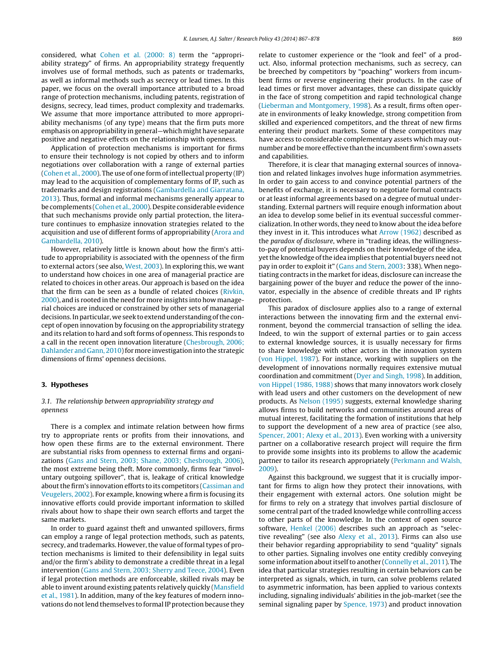considered, what [Cohen](#page-10-0) et [al.](#page-10-0) [\(2000:](#page-10-0) [8\)](#page-10-0) term the "appropriability strategy" of firms. An appropriability strategy frequently involves use of formal methods, such as patents or trademarks, as well as informal methods such as secrecy or lead times. In this paper, we focus on the overall importance attributed to a broad range of protection mechanisms, including patents, registration of designs, secrecy, lead times, product complexity and trademarks. We assume that more importance attributed to more appropriability mechanisms (of any type) means that the firm puts more emphasis onappropriability ingeneral—whichmighthave separate positive and negative effects on the relationship with openness.

Application of protection mechanisms is important for firms to ensure their technology is not copied by others and to inform negotiations over collaboration with a range of external parties ([Cohen](#page-10-0) et [al.,](#page-10-0) [2000\).](#page-10-0) The use of one form of intellectual property (IP) may lead to the acquisition of complementary forms of IP, such as trademarks and design registrations ([Gambardella](#page-10-0) [and](#page-10-0) [Giarratana,](#page-10-0) [2013\).](#page-10-0) Thus, formal and informal mechanisms generally appear to be complements [\(Cohene](#page-10-0)t [al.,2000\).](#page-10-0) Despite considerable evidence that such mechanisms provide only partial protection, the literature continues to emphasize innovation strategies related to the acquisition and use of different forms of appropriability ([Arora](#page-10-0) [and](#page-10-0) [Gambardella,](#page-10-0) [2010\).](#page-10-0)

However, relatively little is known about how the firm's attitude to appropriability is associated with the openness of the firm to external actors (see also, [West,](#page-11-0) [2003\).](#page-11-0) In exploring this, we want to understand how choices in one area of managerial practice are related to choices in other areas. Our approach is based on the idea that the firm can be seen as a bundle of related choices [\(Rivkin,](#page-11-0) [2000\),](#page-11-0) and is rooted in the need for more insights into how managerial choices are induced or constrained by other sets of managerial decisions. In particular, we seek to extend understanding of the concept of open innovation by focusing on the appropriability strategy and its relation to hard and soft forms of openness. This responds to a call in the recent open innovation literature [\(Chesbrough,](#page-10-0) [2006;](#page-10-0) [Dahlander](#page-10-0) [and](#page-10-0) [Gann,](#page-10-0) 2010) for more investigation into the strategic dimensions of firms' openness decisions.

# **3. Hypotheses**

# 3.1. The relationship between appropriability strategy and openness

There is a complex and intimate relation between how firms try to appropriate rents or profits from their innovations, and how open these firms are to the external environment. There are substantial risks from openness to external firms and organizations [\(Gans](#page-10-0) [and](#page-10-0) [Stern,](#page-10-0) [2003;](#page-10-0) [Shane,](#page-10-0) [2003;](#page-10-0) [Chesbrough,](#page-10-0) [2006\),](#page-10-0) the most extreme being theft. More commonly, firms fear "involuntary outgoing spillover", that is, leakage of critical knowledge about the firm's innovation efforts to its competitors [\(Cassiman](#page-10-0) [and](#page-10-0) [Veugelers,](#page-10-0) [2002\).](#page-10-0) For example, knowing where a firm is focusing its innovative efforts could provide important information to skilled rivals about how to shape their own search efforts and target the same markets.

In order to guard against theft and unwanted spillovers, firms can employ a range of legal protection methods, such as patents, secrecy, and trademarks. However, the value of formal types of protection mechanisms is limited to their defensibility in legal suits and/or the firm's ability to demonstrate a credible threat in a legal intervention [\(Gans](#page-10-0) [and](#page-10-0) [Stern,](#page-10-0) [2003;](#page-10-0) [Sherry](#page-10-0) [and](#page-10-0) [Teece,](#page-10-0) [2004\).](#page-10-0) Even if legal protection methods are enforceable, skilled rivals may be able to invent around existing patents relatively quickly ([Mansfield](#page-11-0) et [al.,](#page-11-0) [1981\).](#page-11-0) In addition, many of the key features of modern innovations do not lend themselves to formal IP protection because they relate to customer experience or the "look and feel" of a product. Also, informal protection mechanisms, such as secrecy, can be breeched by competitors by "poaching" workers from incumbent firms or reverse engineering their products. In the case of lead times or first mover advantages, these can dissipate quickly in the face of strong competition and rapid technological change [\(Lieberman](#page-11-0) [and](#page-11-0) [Montgomery,](#page-11-0) [1998\).](#page-11-0) As a result, firms often operate in environments of leaky knowledge, strong competition from skilled and experienced competitors, and the threat of new firms entering their product markets. Some of these competitors may have access to considerable complementary assets which may outnumber and be more effective than the incumbent firm's own assets and capabilities.

Therefore, it is clear that managing external sources of innovation and related linkages involves huge information asymmetries. In order to gain access to and convince potential partners of the benefits of exchange, it is necessary to negotiate formal contracts or at least informal agreements based on a degree of mutual understanding. External partners will require enough information about an idea to develop some belief in its eventual successful commercialization. In other words, they need to know about the idea before they invest in it. This introduces what [Arrow](#page-10-0) [\(1962\)](#page-10-0) described as the paradox of disclosure, where in "trading ideas, the willingnessto-pay of potential buyers depends on their knowledge of the idea, yet the knowledge of the idea implies that potential buyers need not pay in order to exploit it" [\(Gans](#page-10-0) [and](#page-10-0) [Stern,](#page-10-0) [2003:](#page-10-0) 338). When negotiating contracts in the market for ideas, disclosure can increase the bargaining power of the buyer and reduce the power of the innovator, especially in the absence of credible threats and IP rights protection.

This paradox of disclosure applies also to a range of external interactions between the innovating firm and the external environment, beyond the commercial transaction of selling the idea. Indeed, to win the support of external parties or to gain access to external knowledge sources, it is usually necessary for firms to share knowledge with other actors in the innovation system [\(von](#page-11-0) [Hippel,](#page-11-0) [1987\).](#page-11-0) For instance, working with suppliers on the development of innovations normally requires extensive mutual coordination and commitment [\(Dyer](#page-10-0) [and](#page-10-0) [Singh,](#page-10-0) [1998\).](#page-10-0) In addition, [von](#page-11-0) [Hippel](#page-11-0) [\(1986,](#page-11-0) [1988\)](#page-11-0) shows that many innovators work closely with lead users and other customers on the development of new products. As [Nelson](#page-11-0) [\(1995\)](#page-11-0) suggests, external knowledge sharing allows firms to build networks and communities around areas of mutual interest, facilitating the formation of institutions that help to support the development of a new area of practice (see also, [Spencer,](#page-11-0) [2001;](#page-11-0) [Alexy](#page-11-0) et [al.,](#page-11-0) [2013\).](#page-11-0) Even working with a university partner on a collaborative research project will require the firm to provide some insights into its problems to allow the academic partner to tailor its research appropriately ([Perkmann](#page-11-0) [and](#page-11-0) [Walsh,](#page-11-0) [2009\).](#page-11-0)

Against this background, we suggest that it is crucially important for firms to align how they protect their innovations, with their engagement with external actors. One solution might be for firms to rely on a strategy that involves partial disclosure of some central part of the traded knowledge while controlling access to other parts of the knowledge. In the context of open source software, [Henkel](#page-11-0) [\(2006\)](#page-11-0) describes such an approach as "selective revealing" (see also [Alexy](#page-10-0) et [al.,](#page-10-0) [2013\).](#page-10-0) Firms can also use their behavior regarding appropriability to send "quality" signals to other parties. Signaling involves one entity credibly conveying some information about itself to another [\(Connelly](#page-10-0) et [al.,](#page-10-0) [2011\).](#page-10-0) The idea that particular strategies resulting in certain behaviors can be interpreted as signals, which, in turn, can solve problems related to asymmetric information, has been applied to various contexts including, signaling individuals' abilities in the job-market (see the seminal signaling paper by [Spence,](#page-11-0) [1973\)](#page-11-0) and product innovation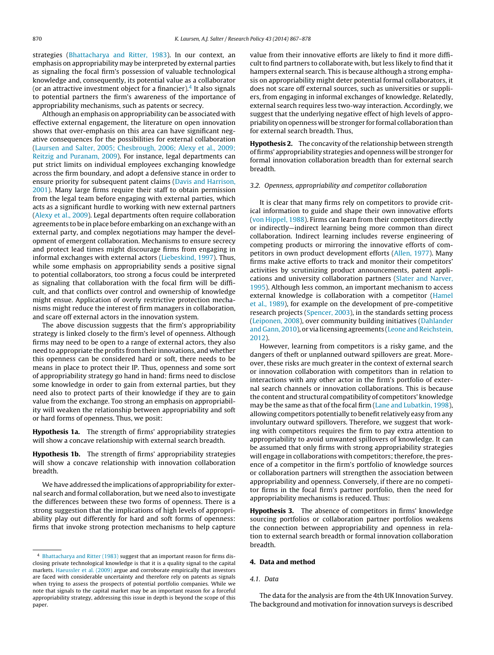<span id="page-3-0"></span>strategies ([Bhattacharya](#page-10-0) [and](#page-10-0) [Ritter,](#page-10-0) [1983\).](#page-10-0) In our context, an emphasis on appropriability may be interpreted by external parties as signaling the focal firm's possession of valuable technological knowledge and, consequently, its potential value as a collaborator (or an attractive investment object for a financier). $4$  It also signals to potential partners the firm's awareness of the importance of appropriability mechanisms, such as patents or secrecy.

Although an emphasis on appropriability can be associated with effective external engagement, the literature on open innovation shows that over-emphasis on this area can have significant negative consequences for the possibilities for external collaboration ([Laursen](#page-11-0) [and](#page-11-0) [Salter,](#page-11-0) [2005;](#page-11-0) [Chesbrough,](#page-11-0) [2006;](#page-11-0) [Alexy](#page-11-0) et [al.,](#page-11-0) [2009;](#page-11-0) [Reitzig](#page-11-0) [and](#page-11-0) [Puranam,](#page-11-0) [2009\).](#page-11-0) For instance, legal departments can put strict limits on individual employees exchanging knowledge across the firm boundary, and adopt a defensive stance in order to ensure priority for subsequent patent claims [\(Davis](#page-10-0) [and](#page-10-0) [Harrison,](#page-10-0) [2001\).](#page-10-0) Many large firms require their staff to obtain permission from the legal team before engaging with external parties, which acts as a significant hurdle to working with new external partners ([Alexy](#page-10-0) et [al.,](#page-10-0) [2009\).](#page-10-0) Legal departments often require collaboration agreements to be in place before embarking on an exchange with an external party, and complex negotiations may hamper the development of emergent collaboration. Mechanisms to ensure secrecy and protect lead times might discourage firms from engaging in informal exchanges with external actors ([Liebeskind,](#page-11-0) [1997\).](#page-11-0) Thus, while some emphasis on appropriability sends a positive signal to potential collaborators, too strong a focus could be interpreted as signaling that collaboration with the focal firm will be difficult, and that conflicts over control and ownership of knowledge might ensue. Application of overly restrictive protection mechanisms might reduce the interest of firm managers in collaboration, and scare off external actors in the innovation system.

The above discussion suggests that the firm's appropriability strategy is linked closely to the firm's level of openness. Although firms may need to be open to a range of external actors, they also need to appropriate the profits from their innovations, and whether this openness can be considered hard or soft, there needs to be means in place to protect their IP. Thus, openness and some sort of appropriability strategy go hand in hand: firms need to disclose some knowledge in order to gain from external parties, but they need also to protect parts of their knowledge if they are to gain value from the exchange. Too strong an emphasis on appropriability will weaken the relationship between appropriability and soft or hard forms of openness. Thus, we posit:

**Hypothesis 1a.** The strength of firms' appropriability strategies will show a concave relationship with external search breadth.

**Hypothesis 1b.** The strength of firms' appropriability strategies will show a concave relationship with innovation collaboration breadth.

We have addressed the implications of appropriability for external search and formal collaboration, but we need also to investigate the differences between these two forms of openness. There is a strong suggestion that the implications of high levels of appropriability play out differently for hard and soft forms of openness: firms that invoke strong protection mechanisms to help capture

value from their innovative efforts are likely to find it more difficult to find partners to collaborate with, but less likely to find that it hampers external search. This is because although a strong emphasis on appropriability might deter potential formal collaborators, it does not scare off external sources, such as universities or suppliers, from engaging in informal exchanges of knowledge. Relatedly, external search requires less two-way interaction. Accordingly, we suggest that the underlying negative effect of high levels of appropriability on openness will be stronger for formal collaboration than for external search breadth. Thus,

**Hypothesis 2.** The concavity of the relationship between strength offirms' appropriability strategies and openness will be stronger for formal innovation collaboration breadth than for external search breadth.

#### 3.2. Openness, appropriability and competitor collaboration

It is clear that many firms rely on competitors to provide critical information to guide and shape their own innovative efforts [\(von](#page-11-0) [Hippel,](#page-11-0) [1988\).](#page-11-0) Firms can learn from their competitors directly or indirectly—indirect learning being more common than direct collaboration. Indirect learning includes reverse engineering of competing products or mirroring the innovative efforts of competitors in own product development efforts [\(Allen,](#page-10-0) [1977\).](#page-10-0) Many firms make active efforts to track and monitor their competitors' activities by scrutinizing product announcements, patent applications and university collaboration partners ([Slater](#page-11-0) [and](#page-11-0) [Narver,](#page-11-0) [1995\).](#page-11-0) Although less common, an important mechanism to access external knowledge is collaboration with a competitor ([Hamel](#page-10-0) et [al.,](#page-10-0) [1989\),](#page-10-0) for example on the development of pre-competitive research projects ([Spencer,](#page-11-0) [2003\),](#page-11-0) in the standards setting process [\(Leiponen,](#page-11-0) [2008\),](#page-11-0) over community building initiatives [\(Dahlander](#page-10-0) [and](#page-10-0) [Gann,](#page-10-0) [2010\),](#page-10-0) or via licensing agreements [\(Leone](#page-11-0) and Reichstein, [2012\).](#page-11-0)

However, learning from competitors is a risky game, and the dangers of theft or unplanned outward spillovers are great. Moreover, these risks are much greater in the context of external search or innovation collaboration with competitors than in relation to interactions with any other actor in the firm's portfolio of external search channels or innovation collaborations. This is because the content and structural compatibility of competitors' knowledge may be the same as that of the focal firm ([Lane](#page-11-0) [and](#page-11-0) [Lubatkin,](#page-11-0) [1998\),](#page-11-0) allowing competitors potentially to benefit relatively easy from any involuntary outward spillovers. Therefore, we suggest that working with competitors requires the firm to pay extra attention to appropriability to avoid unwanted spillovers of knowledge. It can be assumed that only firms with strong appropriability strategies will engage in collaborations with competitors; therefore, the presence of a competitor in the firm's portfolio of knowledge sources or collaboration partners will strengthen the association between appropriability and openness. Conversely, if there are no competitor firms in the focal firm's partner portfolio, then the need for appropriability mechanisms is reduced. Thus:

**Hypothesis 3.** The absence of competitors in firms' knowledge sourcing portfolios or collaboration partner portfolios weakens the connection between appropriability and openness in relation to external search breadth or formal innovation collaboration breadth.

# **4. Data and method**

### 4.1. Data

The data for the analysis are from the 4th UK Innovation Survey. The background and motivation for innovation surveys is described

<sup>4</sup> [Bhattacharya](#page-10-0) [and](#page-10-0) [Ritter](#page-10-0) [\(1983\)](#page-10-0) suggest that an important reason for firms disclosing private technological knowledge is that it is a quality signal to the capital markets. [Haeussler](#page-10-0) et [al.](#page-10-0) [\(2009\)](#page-10-0) argue and corroborate empirically that investors are faced with considerable uncertainty and therefore rely on patents as signals when trying to assess the prospects of potential portfolio companies. While we note that signals to the capital market may be an important reason for a forceful appropriability strategy, addressing this issue in depth is beyond the scope of this paper.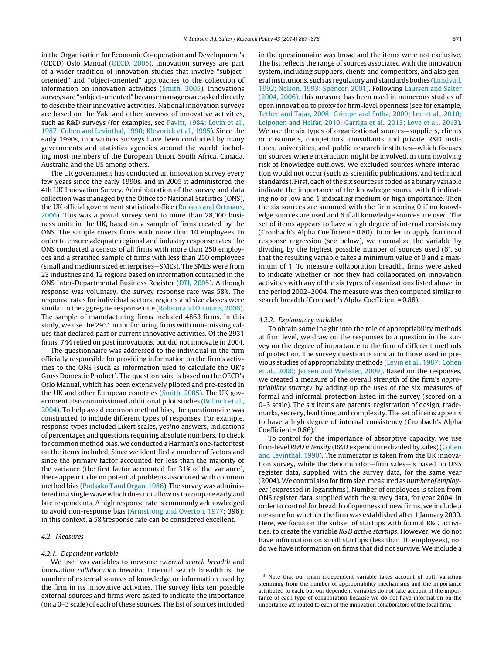in the Organisation for Economic Co-operation and Development's (OECD) Oslo Manual [\(OECD,](#page-11-0) [2005\).](#page-11-0) Innovation surveys are part of a wider tradition of innovation studies that involve "subjectoriented" and "object-oriented" approaches to the collection of information on innovation activities ([Smith,](#page-11-0) [2005\).](#page-11-0) Innovations surveys are "subject-oriented" because managers are asked directly to describe their innovative activities. National innovation surveys are based on the Yale and other surveys of innovative activities, such as R&D surveys (for examples, see [Pavitt,](#page-11-0) [1984;](#page-11-0) [Levin](#page-11-0) et [al.,](#page-11-0) [1987;](#page-11-0) [Cohen](#page-11-0) [and](#page-11-0) [Levinthal,](#page-11-0) [1990;](#page-11-0) [Klevorick](#page-11-0) et [al.,](#page-11-0) [1995\).](#page-11-0) Since the early 1990s, innovations surveys have been conducted by many governments and statistics agencies around the world, including most members of the European Union, South Africa, Canada, Australia and the US among others.

The UK government has conducted an innovation survey every few years since the early 1990s, and in 2005 it administered the 4th UK Innovation Survey. Administration of the survey and data collection was managed by the Office for National Statistics (ONS), the UK official government statistical office ([Robson](#page-11-0) [and](#page-11-0) [Ortmans,](#page-11-0) [2006\).](#page-11-0) This was a postal survey sent to more than 28,000 business units in the UK, based on a sample of firms created by the ONS. The sample covers firms with more than 10 employees. In order to ensure adequate regional and industry response rates, the ONS conducted a census of all firms with more than 250 employees and a stratified sample of firms with less than 250 employees (small and medium sized enterprises—SMEs). The SMEs were from 23 industries and 12 regions based on information contained in the ONS Inter-Departmental Business Register ([DTI,](#page-10-0) [2005\).](#page-10-0) Although response was voluntary, the survey response rate was 58%. The response rates for individual sectors, regions and size classes were similar to the aggregate response rate [\(Robson](#page-11-0) [and](#page-11-0) [Ortmans,](#page-11-0) [2006\).](#page-11-0) The sample of manufacturing firms included 4863 firms. In this study, we use the 2931 manufacturing firms with non-missing values that declared past or current innovative activities. Of the 2931 firms, 744 relied on past innovations, but did not innovate in 2004.

The questionnaire was addressed to the individual in the firm officially responsible for providing information on the firm's activities to the ONS (such as information used to calculate the UK's Gross Domestic Product). The questionnaire is based on the OECD's Oslo Manual, which has been extensively piloted and pre-tested in the UK and other European countries [\(Smith,](#page-11-0) [2005\).](#page-11-0) The UK government also commissioned additional pilot studies [\(Bullock](#page-10-0) et [al.,](#page-10-0) [2004\).](#page-10-0) To help avoid common method bias, the questionnaire was constructed to include different types of responses. For example, response types included Likert scales, yes/no answers, indications of percentages and questions requiring absolute numbers. To check for common method bias, we conducted a Harman's one-factor test on the items included. Since we identified a number of factors and since the primary factor accounted for less than the majority of the variance (the first factor accounted for 31% of the variance), there appear to be no potential problems associated with common method bias [\(Podsakoff](#page-11-0) [and](#page-11-0) [Organ,](#page-11-0) [1986\).](#page-11-0) The survey was administered in a single wave which does not allow us to compare early and late respondents. A high response rate is commonly acknowledged to avoid non-response bias ([Armstrong](#page-10-0) [and](#page-10-0) [Overton,](#page-10-0) [1977:](#page-10-0) 396): in this context, a 58%response rate can be considered excellent.

#### 4.2. Measures

# 4.2.1. Dependent variable

We use two variables to measure external search breadth and innovation collaboration breadth. External search breadth is the number of external sources of knowledge or information used by the firm in its innovative activities. The survey lists ten possible external sources and firms were asked to indicate the importance (on a 0–3 scale) of each ofthese sources. The list of sources included

in the questionnaire was broad and the items were not exclusive. The list reflects the range of sources associated with the innovation system, including suppliers, clients and competitors, and also general institutions, such as regulatory and standards bodies [\(Lundvall,](#page-11-0) [1992;](#page-11-0) [Nelson,](#page-11-0) [1993;](#page-11-0) [Spencer,](#page-11-0) [2001\).](#page-11-0) Following [Laursen](#page-11-0) [and](#page-11-0) [Salter](#page-11-0) [\(2004,](#page-11-0) [2006\),](#page-11-0) this measure has been used in numerous studies of open innovation to proxy for firm-level openness (see for example, [Tether](#page-11-0) [and](#page-11-0) [Tajar,](#page-11-0) [2008;](#page-11-0) [Grimpe](#page-11-0) [and](#page-11-0) [Sofka,](#page-11-0) [2009;](#page-11-0) [Lee](#page-11-0) et [al.,](#page-11-0) [2010;](#page-11-0) [Leiponen](#page-11-0) [and](#page-11-0) [Helfat,](#page-11-0) [2010;](#page-11-0) [Garriga](#page-11-0) et [al.,](#page-11-0) [2013;](#page-11-0) [Love](#page-11-0) et [al.,](#page-11-0) [2013\).](#page-11-0) We use the six types of organizational sources—suppliers, clients or customers, competitors, consultants and private R&D institutes, universities, and public research institutes—which focuses on sources where interaction might be involved, in turn involving risk of knowledge outflows. We excluded sources where interaction would not occur (such as scientific publications, and technical standards). First, each of the six sources is coded as a binary variable indicate the importance of the knowledge source with 0 indicating no or low and 1 indicating medium or high importance. Then the six sources are summed with the firm scoring 0 if no knowledge sources are used and 6 if all knowledge sources are used. The set of items appears to have a high degree of internal consistency (Cronbach's Alpha Coefficient = 0.80). In order to apply fractional response regression (see below), we normalize the variable by dividing by the highest possible number of sources used (6), so that the resulting variable takes a minimum value of 0 and a maximum of 1. To measure collaboration breadth, firms were asked to indicate whether or not they had collaborated on innovation activities with any of the six types of organizations listed above, in the period 2002–2004. The measure was then computed similar to search breadth (Cronbach's Alpha Coefficient = 0.88).

### 4.2.2. Explanatory variables

To obtain some insight into the role of appropriability methods at firm level, we draw on the responses to a question in the survey on the degree of importance to the firm of different methods of protection. The survey question is similar to those used in previous studies of appropriability methods [\(Levin](#page-11-0) et [al.,](#page-11-0) [1987;](#page-11-0) [Cohen](#page-11-0) et [al.,](#page-11-0) [2000;](#page-11-0) [Jensen](#page-11-0) [and](#page-11-0) [Webster,](#page-11-0) [2009\).](#page-11-0) Based on the responses, we created a measure of the overall strength of the firm's appropriability strategy by adding up the uses of the six measures of formal and informal protection listed in the survey (scored on a 0–3 scale). The six items are patents, registration of design, trademarks, secrecy, lead time, and complexity. The set of items appears to have a high degree of internal consistency (Cronbach's Alpha Coefficient =  $0.86$ ).<sup>5</sup>

To control for the importance of absorptive capacity, we use firm-level R&D intensity (R&D expenditure divided by sales)([Cohen](#page-10-0) [and](#page-10-0) [Levinthal,](#page-10-0) [1990\).](#page-10-0) The numerator is taken from the UK innovation survey, while the denominator—firm sales—is based on ONS register data, supplied with the survey data, for the same year (2004). We control also for firm size, measured as number of employees (expressed in logarithms). Number of employees is taken from ONS register data, supplied with the survey data, for year 2004. In order to control for breadth of openness of new firms, we include a measure for whether the firm was established after 1 January 2000. Here, we focus on the subset of startups with formal R&D activities, to create the variable R&D active startups. However, we do not have information on small startups (less than 10 employees), nor do we have information on firms that did not survive. We include a

<sup>5</sup> Note that our main independent variable takes account of both variation stemming from the number of appropriability mechanisms and the importance attributed to each, but our dependent variables do not take account of the importance of each type of collaboration because we do not have information on the importance attributed to each of the innovation collaborators of the focal firm.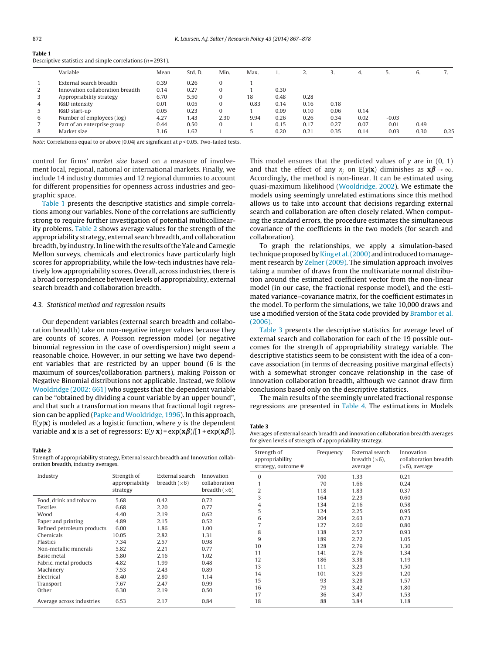|                | Variable                         | Mean | Std. D. | Min. | Max. |      | ۷.   |      | 4.   |         | 6.   | $\overline{\phantom{a}}$ |
|----------------|----------------------------------|------|---------|------|------|------|------|------|------|---------|------|--------------------------|
|                | External search breadth          | 0.39 | 0.26    | 0    |      |      |      |      |      |         |      |                          |
|                | Innovation collaboration breadth | 0.14 | 0.27    | 0    |      | 0.30 |      |      |      |         |      |                          |
|                | Appropriability strategy         | 6.70 | 5.50    |      | 18   | 0.48 | 0.28 |      |      |         |      |                          |
| $\overline{4}$ | R&D intensity                    | 0.01 | 0.05    | 0    | 0.83 | 0.14 | 0.16 | 0.18 |      |         |      |                          |
|                | R&D start-up                     | 0.05 | 0.23    | 0    |      | 0.09 | 0.10 | 0.06 | 0.14 |         |      |                          |
| 6              | Number of employees (log)        | 4.27 | 1.43    | 2.30 | 9.94 | 0.26 | 0.26 | 0.34 | 0.02 | $-0.03$ |      |                          |
|                | Part of an enterprise group      | 0.44 | 0.50    | 0    |      | 0.15 | 0.17 | 0.27 | 0.07 | 0.01    | 0.49 |                          |
| 8              | Market size                      | 3.16 | .62     |      |      | 0.20 | 0.21 | 0.35 | 0.14 | 0.03    | 0.30 | 0.25                     |

**Table 1** Descriptive statistics and simple correlations  $(n = 2931)$ .

Note: Correlations equal to or above  $|0.04|$  are significant at  $p < 0.05$ . Two-tailed tests.

control for firms' market size based on a measure of involvement local, regional, national or international markets. Finally, we include 14 industry dummies and 12 regional dummies to account for different propensities for openness across industries and geographic space.

Table 1 presents the descriptive statistics and simple correlations among our variables. None of the correlations are sufficiently strong to require further investigation of potential multicollinearity problems. Table 2 shows average values for the strength of the appropriability strategy, external search breadth, and collaboration breadth, by industry. In line with the results of the Yale and Carnegie Mellon surveys, chemicals and electronics have particularly high scores for appropriability, while the low-tech industries have relatively low appropriability scores. Overall, across industries, there is a broad correspondence between levels of appropriability, external search breadth and collaboration breadth.

# 4.3. Statistical method and regression results

Our dependent variables (external search breadth and collaboration breadth) take on non-negative integer values because they are counts of scores. A Poisson regression model (or negative binomial regression in the case of overdispersion) might seem a reasonable choice. However, in our setting we have two dependent variables that are restricted by an upper bound (6 is the maximum of sources/collaboration partners), making Poisson or Negative Binomial distributions not applicable. Instead, we follow [Wooldridge](#page-11-0) [\(2002:](#page-11-0) [661\)](#page-11-0) who suggests that the dependent variable can be "obtained by dividing a count variable by an upper bound", and that such a transformation means that fractional logit regres-sion can be applied [\(Papke](#page-11-0) and Wooldridge, [1996\).](#page-11-0) In this approach,  $E(y|\mathbf{x})$  is modeled as a logistic function, where y is the dependent variable and **x** is a set of regressors:  $E(y|\mathbf{x}) = \exp(\mathbf{x}\boldsymbol{\beta})/[1 + \exp(\mathbf{x}\boldsymbol{\beta})]$ .

#### **Table 2**

Strength of appropriability strategy, External search breadth and Innovation collaboration breadth, industry averages.

| Industry                   | Strength of<br>appropriability<br>strategy | External search<br>breadth $(\times 6)$ | Innovation<br>collaboration<br>breadth $(x6)$ |
|----------------------------|--------------------------------------------|-----------------------------------------|-----------------------------------------------|
| Food, drink and tobacco    | 5.68                                       | 0.42                                    | 0.72                                          |
| Textiles                   | 6.68                                       | 2.20                                    | 0.77                                          |
| Wood                       | 4.40                                       | 2.19                                    | 0.62                                          |
| Paper and printing         | 4.89                                       | 2.15                                    | 0.52                                          |
| Refined petroleum products | 6.00                                       | 1.86                                    | 1.00                                          |
| Chemicals                  | 10.05                                      | 2.82                                    | 1.31                                          |
| <b>Plastics</b>            | 7.34                                       | 2.57                                    | 0.98                                          |
| Non-metallic minerals      | 5.82                                       | 2.21                                    | 0.77                                          |
| Basic metal                | 5.80                                       | 2.16                                    | 1.02                                          |
| Fabric, metal products     | 4.82                                       | 1.99                                    | 0.48                                          |
| Machinery                  | 7.53                                       | 2.43                                    | 0.89                                          |
| Electrical                 | 8.40                                       | 2.80                                    | 1.14                                          |
| Transport                  | 7.67                                       | 2.47                                    | 0.99                                          |
| Other                      | 6.30                                       | 2.19                                    | 0.50                                          |
| Average across industries  | 6.53                                       | 2.17                                    | 0.84                                          |

This model ensures that the predicted values of  $y$  are in  $(0, 1)$ and that the effect of any  $x_i$  on E(y|**x**) diminishes as  $\mathbf{x}\beta \rightarrow \infty$ . Accordingly, the method is non-linear. It can be estimated using quasi-maximum likelihood ([Wooldridge,](#page-11-0) [2002\).](#page-11-0) We estimate the models using seemingly unrelated estimations since this method allows us to take into account that decisions regarding external search and collaboration are often closely related. When computing the standard errors, the procedure estimates the simultaneous covariance of the coefficients in the two models (for search and collaboration).

To graph the relationships, we apply a simulation-based technique proposed by [King](#page-11-0) et al. (2000) and introduced to management research by [Zelner](#page-11-0) [\(2009\).](#page-11-0) The simulation approach involves taking a number of draws from the multivariate normal distribution around the estimated coefficient vector from the non-linear model (in our case, the fractional response model), and the estimated variance–covariance matrix, for the coefficient estimates in the model. To perform the simulations, we take 10,000 draws and use a modified version of the Stata code provided by [Brambor](#page-10-0) et [al.](#page-10-0) [\(2006\).](#page-10-0)

Table 3 presents the descriptive statistics for average level of external search and collaboration for each of the 19 possible outcomes for the strength of appropriability strategy variable. The descriptive statistics seem to be consistent with the idea of a concave association (in terms of decreasing positive marginal effects) with a somewhat stronger concave relationship in the case of innovation collaboration breadth, although we cannot draw firm conclusions based only on the descriptive statistics.

The main results of the seemingly unrelated fractional response regressions are presented in [Table](#page-6-0) 4. The estimations in Models

#### **Table 3**

Averages of external search breadth and innovation collaboration breadth averages for given levels of strength of appropriability strategy.

| Strength of<br>appropriability<br>strategy, outcome # | Frequency | External search<br>breadth $(\times 6)$ ,<br>average | Innovation<br>collaboration breadth<br>$(\times 6)$ , average |
|-------------------------------------------------------|-----------|------------------------------------------------------|---------------------------------------------------------------|
| $\mathbf{0}$                                          | 700       | 1.33                                                 | 0.21                                                          |
| 1                                                     | 70        | 1.66                                                 | 0.24                                                          |
| $\overline{2}$                                        | 118       | 1.83                                                 | 0.37                                                          |
| 3                                                     | 164       | 2.23                                                 | 0.60                                                          |
| 4                                                     | 134       | 2.16                                                 | 0.58                                                          |
| 5                                                     | 124       | 2.25                                                 | 0.95                                                          |
| 6                                                     | 204       | 2.63                                                 | 0.73                                                          |
| 7                                                     | 127       | 2.60                                                 | 0.80                                                          |
| 8                                                     | 138       | 2.57                                                 | 0.93                                                          |
| 9                                                     | 189       | 2.72                                                 | 1.05                                                          |
| 10                                                    | 128       | 2.79                                                 | 1.30                                                          |
| 11                                                    | 141       | 2.76                                                 | 1.34                                                          |
| 12                                                    | 186       | 3.38                                                 | 1.19                                                          |
| 13                                                    | 111       | 3.23                                                 | 1.50                                                          |
| 14                                                    | 101       | 3.29                                                 | 1.20                                                          |
| 15                                                    | 93        | 3.28                                                 | 1.57                                                          |
| 16                                                    | 79        | 3.42                                                 | 1.80                                                          |
| 17                                                    | 36        | 3.47                                                 | 1.53                                                          |
| 18                                                    | 88        | 3.84                                                 | 1.18                                                          |
|                                                       |           |                                                      |                                                               |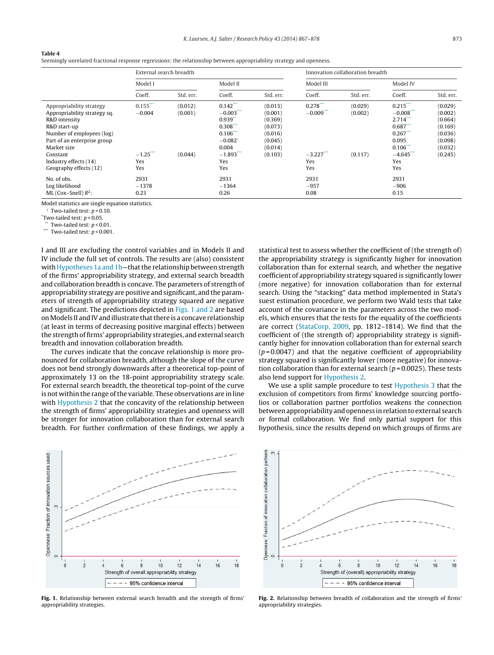#### <span id="page-6-0"></span>**Table 4**

Seemingly unrelated fractional response regressions: the relationship between appropriability strategy and openness.

|                                                                                                                                                                                                                                     | External search breadth                         |                               |                                                                                                                                            |                                                                                      |                                                      | Innovation collaboration breadth |                                                                                                  |                                                                                      |
|-------------------------------------------------------------------------------------------------------------------------------------------------------------------------------------------------------------------------------------|-------------------------------------------------|-------------------------------|--------------------------------------------------------------------------------------------------------------------------------------------|--------------------------------------------------------------------------------------|------------------------------------------------------|----------------------------------|--------------------------------------------------------------------------------------------------|--------------------------------------------------------------------------------------|
|                                                                                                                                                                                                                                     | Model I                                         |                               | Model II                                                                                                                                   |                                                                                      | Model III                                            |                                  | Model IV                                                                                         |                                                                                      |
|                                                                                                                                                                                                                                     | Coeff.                                          | Std. err.                     | Coeff.                                                                                                                                     | Std. err.                                                                            | Coeff.                                               | Std. err.                        | Coeff.                                                                                           | Std. err.                                                                            |
| Appropriability strategy<br>Appropriability strategy sq.<br>R&D intensity<br>R&D start-up<br>Number of employees (log)<br>Part of an enterprise group<br>Market size<br>Constant<br>Industry effects (14)<br>Geography effects (12) | $0.155***$<br>$-0.004$<br>$-1.25$<br>Yes<br>Yes | (0.012)<br>(0.001)<br>(0.044) | $0.142***$<br>$-0.003***$<br>$0.939$ <sup>*</sup><br>$0.308***$<br>$0.106***$<br>$-0.082^{\dagger}$<br>0.004<br>$-1.893$ ***<br>Yes<br>Yes | (0.013)<br>(0.001)<br>(0.369)<br>(0.073)<br>(0.016)<br>(0.045)<br>(0.014)<br>(0.103) | $0.278***$<br>$-0.009$ ***<br>$-3.227$<br>Yes<br>Yes | (0.029)<br>(0.002)<br>(0.117)    | $0.215***$<br>$-0.008***$<br>2.714<br>0.687<br>0.267<br>0.095<br>0.106<br>$-4.645$<br>Yes<br>Yes | (0.029)<br>(0.002)<br>(0.664)<br>(0.169)<br>(0.036)<br>(0.098)<br>(0.032)<br>(0.245) |
| No. of obs.<br>Log likelihood<br>ML (Cox-Snell) $R^2$ :                                                                                                                                                                             | 2931<br>$-1378$<br>0.23                         |                               | 2931<br>$-1364$<br>0.26                                                                                                                    |                                                                                      | 2931<br>$-957$<br>0.08                               |                                  | 2931<br>$-906$<br>0.15                                                                           |                                                                                      |

Model statistics are single equation statistics.

 $\dagger$  Two-tailed test:  $p < 0.10$ .

 $*$ Two-tailed test:  $p < 0.05$ .

Two-tailed test:  $p < 0.01$ .

Two-tailed test:  $p < 0.001$ .

I and III are excluding the control variables and in Models II and IV include the full set of controls. The results are (also) consistent with [Hypotheses](#page-3-0) [1a](#page-3-0) [and](#page-3-0) 1b-that the relationship between strength of the firms' appropriability strategy, and external search breadth and collaboration breadth is concave. The parameters of strength of appropriability strategy are positive and significant, and the parameters of strength of appropriability strategy squared are negative and significant. The predictions depicted in Figs. 1 and 2 are based on Models II and IV and illustrate that there is a concave relationship (at least in terms of decreasing positive marginal effects) between the strength of firms' appropriability strategies, and external search breadth and innovation collaboration breadth.

The curves indicate that the concave relationship is more pronounced for collaboration breadth, although the slope of the curve does not bend strongly downwards after a theoretical top-point of approximately 13 on the 18-point appropriability strategy scale. For external search breadth, the theoretical top-point of the curve is not within the range of the variable. These observations are in line with [Hypothesis](#page-3-0) [2](#page-3-0) that the concavity of the relationship between the strength of firms' appropriability strategies and openness will be stronger for innovation collaboration than for external search breadth. For further confirmation of these findings, we apply a



**Fig. 1.** Relationship between external search breadth and the strength of firms' appropriability strategies.

statistical test to assess whether the coefficient of (the strength of) the appropriability strategy is significantly higher for innovation collaboration than for external search, and whether the negative coefficient of appropriability strategy squared is significantly lower (more negative) for innovation collaboration than for external search. Using the "stacking" data method implemented in Stata's suest estimation procedure, we perform two Wald tests that take account of the covariance in the parameters across the two models, which ensures that the tests for the equality of the coefficients are correct ([StataCorp,](#page-11-0) [2009,](#page-11-0) pp. 1812–1814). We find that the coefficient of (the strength of) appropriability strategy is significantly higher for innovation collaboration than for external search  $(p=0.0047)$  and that the negative coefficient of appropriability strategy squared is significantly lower (more negative) for innovation collaboration than for external search ( $p = 0.0025$ ). These tests also lend support for [Hypothesis](#page-3-0) [2.](#page-3-0)

We use a split sample procedure to test [Hypothesis](#page-3-0) [3](#page-3-0) that the exclusion of competitors from firms' knowledge sourcing portfolios or collaboration partner portfolios weakens the connection between appropriability and openness in relation to external search or formal collaboration. We find only partial support for this hypothesis, since the results depend on which groups of firms are



**Fig. 2.** Relationship between breadth of collaboration and the strength of firms' appropriability strategies.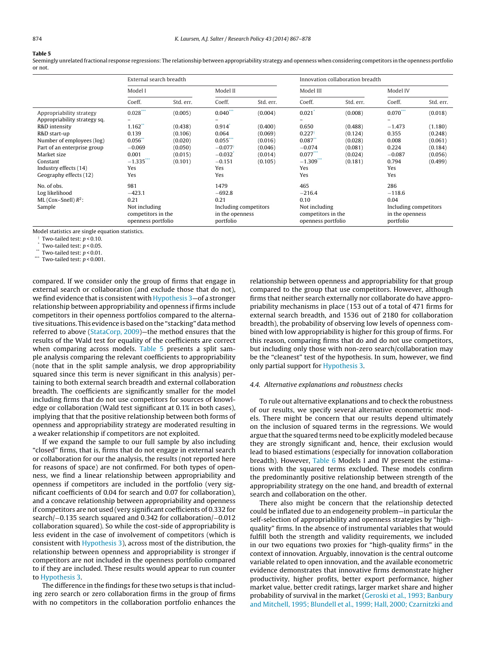# **Table 5**

Seemingly unrelated fractional response regressions: The relationship between appropriability strategy and openness when considering competitors in the openness portfolio or not.

|                              | External search breadth |           |                       |           |                    | Innovation collaboration breadth |                       |           |
|------------------------------|-------------------------|-----------|-----------------------|-----------|--------------------|----------------------------------|-----------------------|-----------|
|                              | Model I                 |           | Model II              |           | Model III          |                                  | Model IV              |           |
|                              | Coeff.                  | Std. err. | Coeff.                | Std. err. | Coeff.             | Std. err.                        | Coeff.                | Std. err. |
| Appropriability strategy     | $0.028$ ***             | (0.005)   | $0.040$ ***           | (0.004)   | 0.021              | (0.008)                          | $0.070***$            | (0.018)   |
| Appropriability strategy sq. |                         |           |                       |           |                    |                                  |                       |           |
| R&D intensity                | 1.162                   | (0.438)   | 0.914                 | (0.400)   | 0.650              | (0.488)                          | $-1.473$              | (1.180)   |
| R&D start-up                 | 0.139                   | (0.106)   | 0.064                 | (0.069)   | 0.227              | (0.124)                          | 0.355                 | (0.248)   |
| Number of employees (log)    | $0.056$ **              | (0.020)   | $0.055***$            | (0.016)   | $0.087**$          | (0.028)                          | 0.008                 | (0.061)   |
| Part of an enterprise group  | $-0.069$                | (0.050)   | $-0.077$ <sup>t</sup> | (0.046)   | $-0.074$           | (0.081)                          | 0.224                 | (0.184)   |
| Market size                  | 0.001                   | (0.015)   | $-0.032$              | (0.014)   | $0.077***$         | (0.024)                          | $-0.087$              | (0.056)   |
| Constant                     | $-1.335$                | (0.101)   | $-0.151$              | (0.105)   | $-1.309$ ***       | (0.181)                          | 0.794                 | (0.499)   |
| Industry effects (14)        | Yes                     |           | Yes                   |           | Yes                |                                  | Yes                   |           |
| Geography effects (12)       | Yes                     |           | Yes                   |           | Yes                |                                  | Yes                   |           |
| No. of obs.                  | 981                     |           | 1479                  |           | 465                |                                  | 286                   |           |
| Log likelihood               | $-423.1$                |           | $-692.8$              |           | $-216.4$           |                                  | $-118.6$              |           |
| ML (Cox-Snell) $R^2$ :       | 0.21                    |           | 0.21                  |           | 0.10               |                                  | 0.04                  |           |
| Sample                       | Not including           |           | Including competitors |           | Not including      |                                  | Including competitors |           |
|                              | competitors in the      |           | in the openness       |           | competitors in the |                                  | in the openness       |           |
|                              | openness portfolio      |           | portfolio             |           | openness portfolio |                                  | portfolio             |           |

Model statistics are single equation statistics.

 $\dagger$  Two-tailed test:  $p < 0.10$ .

Two-tailed test:  $p < 0.05$ .

\*\* Two-tailed test:  $p < 0.01$ .

\*\*\* Two-tailed test:  $p < 0.001$ .

compared. If we consider only the group of firms that engage in external search or collaboration (and exclude those that do not), we find evidence that is consistent with [Hypothesis](#page-3-0) 3-of a stronger relationship between appropriability and openness if firms include competitors in their openness portfolios compared to the alternative situations. This evidence is based on the "stacking" data method referred to above ([StataCorp,](#page-11-0) [2009\)—](#page-11-0)the method ensures that the results of the Wald test for equality of the coefficients are correct when comparing across models. Table 5 presents a split sample analysis comparing the relevant coefficients to appropriability (note that in the split sample analysis, we drop appropriability squared since this term is never significant in this analysis) pertaining to both external search breadth and external collaboration breadth. The coefficients are significantly smaller for the model including firms that do not use competitors for sources of knowledge or collaboration (Wald test significant at 0.1% in both cases), implying that that the positive relationship between both forms of openness and appropriability strategy are moderated resulting in a weaker relationship if competitors are not exploited.

If we expand the sample to our full sample by also including "closed" firms, that is, firms that do not engage in external search or collaboration for our the analysis, the results (not reported here for reasons of space) are not confirmed. For both types of openness, we find a linear relationship between appropriability and openness if competitors are included in the portfolio (very significant coefficients of 0.04 for search and 0.07 for collaboration), and a concave relationship between appropriability and openness if competitors are not used (very significant coefficients of 0.332 for search/−0.135 search squared and 0.342 for collaboration/−0.012 collaboration squared). So while the cost-side of appropriability is less evident in the case of involvement of competitors (which is consistent with [Hypothesis](#page-3-0) [3\),](#page-3-0) across most of the distribution, the relationship between openness and appropriability is stronger if competitors are not included in the openness portfolio compared to if they are included. These results would appear to run counter to [Hypothesis](#page-3-0) [3.](#page-3-0)

The difference in the findings for these two setups is that including zero search or zero collaboration firms in the group of firms with no competitors in the collaboration portfolio enhances the

relationship between openness and appropriability for that group compared to the group that use competitors. However, although firms that neither search externally nor collaborate do have appropriability mechanisms in place (153 out of a total of 471 firms for external search breadth, and 1536 out of 2180 for collaboration breadth), the probability of observing low levels of openness combined with low appropriability is higher for this group of firms. For this reason, comparing firms that do and do not use competitors, but including only those with non-zero search/collaboration may be the "cleanest" test of the hypothesis. In sum, however, we find only partial support for [Hypothesis](#page-3-0) [3.](#page-3-0)

# 4.4. Alternative explanations and robustness checks

To rule out alternative explanations and to check the robustness of our results, we specify several alternative econometric models. There might be concern that our results depend ultimately on the inclusion of squared terms in the regressions. We would argue that the squared terms need to be explicitly modeled because they are strongly significant and, hence, their exclusion would lead to biased estimations (especially for innovation collaboration breadth). However, [Table](#page-8-0) 6 Models I and IV present the estimations with the squared terms excluded. These models confirm the predominantly positive relationship between strength of the appropriability strategy on the one hand, and breadth of external search and collaboration on the other.

There also might be concern that the relationship detected could be inflated due to an endogeneity problem—in particular the self-selection of appropriability and openness strategies by "highquality" firms. In the absence of instrumental variables that would fulfill both the strength and validity requirements, we included in our two equations two proxies for "high-quality firms" in the context of innovation. Arguably, innovation is the central outcome variable related to open innovation, and the available econometric evidence demonstrates that innovative firms demonstrate higher productivity, higher profits, better export performance, higher market value, better credit ratings, larger market share and higher probability of survival in the market ([Geroski](#page-10-0) et [al.,](#page-10-0) [1993;](#page-10-0) [Banbury](#page-10-0) [and](#page-10-0) [Mitchell,](#page-10-0) [1995;](#page-10-0) [Blundell](#page-10-0) et [al.,](#page-10-0) [1999;](#page-10-0) [Hall,](#page-10-0) [2000;](#page-10-0) [Czarnitzki](#page-10-0) [and](#page-10-0)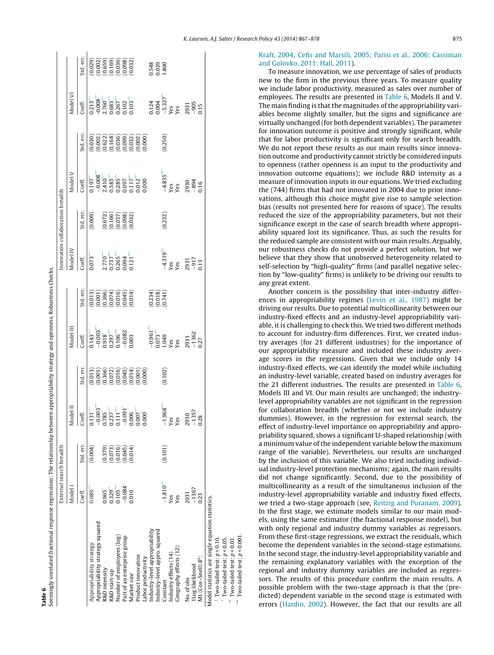| ه      | i      |
|--------|--------|
| ≝      | ؛      |
| ء<br>ಗ | ĺ<br>¢ |
| ⊨      | U      |
|        |        |

Seemingly unrelated fractional response regressions: The relationship between appropriability strategy and openness, Robustness Checks. Seemingly unrelated fractional response regressions: The relationship between appropriability strategy and openness, Robustness Checks.

<span id="page-8-0"></span>

|                                                  | External search breadth |                                     |                                                                                                                                                                                                                                                                                                                                    |                                                                                                                                                                                                                                                                                              |                                                                                                                                                                             |                                                                                                              |                                                                                                      | Innovation collaboration breadth                                                         |                                                                                                                                                                          |                                                                                                                                         |                                                                                                      |                                                                                         |
|--------------------------------------------------|-------------------------|-------------------------------------|------------------------------------------------------------------------------------------------------------------------------------------------------------------------------------------------------------------------------------------------------------------------------------------------------------------------------------|----------------------------------------------------------------------------------------------------------------------------------------------------------------------------------------------------------------------------------------------------------------------------------------------|-----------------------------------------------------------------------------------------------------------------------------------------------------------------------------|--------------------------------------------------------------------------------------------------------------|------------------------------------------------------------------------------------------------------|------------------------------------------------------------------------------------------|--------------------------------------------------------------------------------------------------------------------------------------------------------------------------|-----------------------------------------------------------------------------------------------------------------------------------------|------------------------------------------------------------------------------------------------------|-----------------------------------------------------------------------------------------|
|                                                  | Model 1                 |                                     | Model                                                                                                                                                                                                                                                                                                                              |                                                                                                                                                                                                                                                                                              | Model III                                                                                                                                                                   |                                                                                                              | Model IV                                                                                             |                                                                                          | Model V                                                                                                                                                                  |                                                                                                                                         | Model VI                                                                                             |                                                                                         |
|                                                  | Coeff.                  | Std. err                            | Coeff.                                                                                                                                                                                                                                                                                                                             | Std. err                                                                                                                                                                                                                                                                                     | Coeff.                                                                                                                                                                      | Std. err                                                                                                     | Coeff.                                                                                               | Std. err.                                                                                | Coeff.                                                                                                                                                                   | Std. err.                                                                                                                               | Coeff.                                                                                               | Std. err.                                                                               |
| Appropriability strategy                         | 0.089                   | (0.004)                             | 0.131                                                                                                                                                                                                                                                                                                                              |                                                                                                                                                                                                                                                                                              | $\begin{array}{l} 0.143^{\ast\ast} \ -0.003^{\ast\ast} \ -0.918^{\ast} \ -0.918^{\ast} \ -0.106^{\ast\ast} \ -0.106^{\ast\ast} \ -0.082^{\ast} \ -0.082^{\ast} \end{array}$ | $\begin{array}{c} (0.013) \ (0.001) \ (0.366) \ (0.074) \ (0.016) \ (0.016) \ (0.016) \ (0.017) \end{array}$ | $\begin{array}{l} 0.073^{***} \ 2.770^{***} \ 0.737^{***} \ 0.094 \ 0.094 \ 0.0121^{**} \end{array}$ | $\begin{array}{c} (0.009) \ (0.672) \ (0.166) \ (0.037) \ (0.098) \ (0.032) \end{array}$ | $\begin{array}{l} 0.197^{**} \ -0.008^{**} \ -0.008^{**} \ -0.008^{**} \ -0.410^{**} \ 0.585^{**} \ -0.285^{**} \ 0.097 \ 0.0117^{**} \ 0.000 \ 0.0112^{**} \end{array}$ |                                                                                                                                         | $\begin{array}{l} 0.213 \\ -0.008 \\ 2.760 \\ 0.683 \\ 0.267 \\ 0.102 \\ 0.102 \\ 0.103 \end{array}$ |                                                                                         |
| Appropriability strategy squared                 |                         |                                     |                                                                                                                                                                                                                                                                                                                                    |                                                                                                                                                                                                                                                                                              |                                                                                                                                                                             |                                                                                                              |                                                                                                      |                                                                                          |                                                                                                                                                                          |                                                                                                                                         |                                                                                                      |                                                                                         |
| R&D intensity                                    | 0.965                   | (0.379)                             |                                                                                                                                                                                                                                                                                                                                    |                                                                                                                                                                                                                                                                                              |                                                                                                                                                                             |                                                                                                              |                                                                                                      |                                                                                          |                                                                                                                                                                          |                                                                                                                                         |                                                                                                      |                                                                                         |
| R&D start-up                                     |                         |                                     |                                                                                                                                                                                                                                                                                                                                    |                                                                                                                                                                                                                                                                                              |                                                                                                                                                                             |                                                                                                              |                                                                                                      |                                                                                          |                                                                                                                                                                          |                                                                                                                                         |                                                                                                      |                                                                                         |
| Number of employees (log)                        | $0.329$<br>$0.105$      | $(0.073)$<br>$(0.016)$<br>$(0.045)$ | $\begin{array}{c} -0.003^{**} \\ -0.003^{**} \\ -0.785^{**} \\ -0.237^{**} \\ -0.091 \\ -0.096 \\ -0.006 \\ 0.006 \\ -0.006 \\ 0.006 \\ -0.007 \\ -0.007 \\ -0.007 \\ -0.007 \\ -0.007 \\ -0.007 \\ -0.007 \\ -0.007 \\ -0.007 \\ -0.007 \\ -0.007 \\ -0.007 \\ -0.007 \\ -0.007 \\ -0.007 \\ -0.007 \\ -0.007 \\ -0.007 \\ -0.00$ |                                                                                                                                                                                                                                                                                              |                                                                                                                                                                             |                                                                                                              |                                                                                                      |                                                                                          |                                                                                                                                                                          |                                                                                                                                         |                                                                                                      | $(0.029)$<br>$(0.002)$<br>$(0.659)$<br>$(0.169)$<br>$(0.036)$<br>$(0.036)$<br>$(0.038)$ |
| Part of an enterprise group                      | $-0.084$                |                                     |                                                                                                                                                                                                                                                                                                                                    |                                                                                                                                                                                                                                                                                              |                                                                                                                                                                             |                                                                                                              |                                                                                                      |                                                                                          |                                                                                                                                                                          |                                                                                                                                         |                                                                                                      |                                                                                         |
| Market size                                      | 0.010                   | (0.014)                             |                                                                                                                                                                                                                                                                                                                                    |                                                                                                                                                                                                                                                                                              |                                                                                                                                                                             |                                                                                                              |                                                                                                      |                                                                                          |                                                                                                                                                                          |                                                                                                                                         |                                                                                                      |                                                                                         |
| Product innovation                               |                         |                                     | 0.007                                                                                                                                                                                                                                                                                                                              | $\begin{array}{l} (0.013)\\ (0.001)\\ (0.366)\\ (0.072)\\ (0.016)\\ (0.016)\\ (0.014)\\ (0.001)\\ (0.000)\\ (0.000)\\ (0.000)\\ (0.000)\\ (0.000)\\ (0.000)\\ (0.000)\\ (0.000)\\ (0.000)\\ (0.000)\\ (0.000)\\ (0.000)\\ (0.000)\\ (0.000)\\ (0.000)\\ (0.000)\\ (0.000)\\ (0.000)\\ (0.00$ |                                                                                                                                                                             |                                                                                                              |                                                                                                      |                                                                                          |                                                                                                                                                                          | $\begin{smallmatrix} (0.030) \\ (0.002) \\ (0.622) \\ (0.630) \\ (0.168) \\ (0.036) \\ (0.030) \\ (0.002) \\ (0.000) \end{smallmatrix}$ |                                                                                                      |                                                                                         |
| Labor productivity                               |                         |                                     | 0.000                                                                                                                                                                                                                                                                                                                              |                                                                                                                                                                                                                                                                                              |                                                                                                                                                                             |                                                                                                              |                                                                                                      |                                                                                          |                                                                                                                                                                          |                                                                                                                                         |                                                                                                      |                                                                                         |
| Industry-level appropriability                   |                         |                                     |                                                                                                                                                                                                                                                                                                                                    |                                                                                                                                                                                                                                                                                              |                                                                                                                                                                             | $\begin{pmatrix} 0.234 \\ 0.018 \end{pmatrix}$                                                               |                                                                                                      |                                                                                          |                                                                                                                                                                          |                                                                                                                                         |                                                                                                      | 0.548<br>0.039<br>1.800                                                                 |
| industry-level appro. squared                    |                         |                                     |                                                                                                                                                                                                                                                                                                                                    |                                                                                                                                                                                                                                                                                              |                                                                                                                                                                             |                                                                                                              |                                                                                                      |                                                                                          |                                                                                                                                                                          |                                                                                                                                         |                                                                                                      |                                                                                         |
| Constant                                         | $-1.810$ <sup>***</sup> | (0.101)                             | $-1.968$                                                                                                                                                                                                                                                                                                                           | (0.102)                                                                                                                                                                                                                                                                                      |                                                                                                                                                                             |                                                                                                              |                                                                                                      | (0.232)                                                                                  |                                                                                                                                                                          | (0.250)                                                                                                                                 |                                                                                                      |                                                                                         |
| Industry effects (14)                            | Yes                     |                                     | Yes                                                                                                                                                                                                                                                                                                                                |                                                                                                                                                                                                                                                                                              |                                                                                                                                                                             |                                                                                                              |                                                                                                      |                                                                                          |                                                                                                                                                                          |                                                                                                                                         |                                                                                                      |                                                                                         |
| Geography effects (12)                           | Yes                     |                                     | Yes                                                                                                                                                                                                                                                                                                                                |                                                                                                                                                                                                                                                                                              | $-0.961$<br>$0.073$<br>$1.049$<br>$Y$ es<br>$Y$ es<br>$Y$ es<br>$2931$<br>$-1362$<br>$-1362$                                                                                |                                                                                                              | $-4.319$<br>Yes<br>Yes<br>Yes<br>2931<br>$-917$<br>$-917$<br>0.13                                    |                                                                                          | $-4.835$<br>Yes<br>Yes<br>Yes<br>2930<br>-894<br>-0.16                                                                                                                   |                                                                                                                                         | 0.124<br>0.004<br>-5.327*<br>Yes<br>Yes<br>2931<br>-905<br>0.15                                      |                                                                                         |
| No. of obs                                       | 2931                    |                                     | 2930                                                                                                                                                                                                                                                                                                                               |                                                                                                                                                                                                                                                                                              |                                                                                                                                                                             |                                                                                                              |                                                                                                      |                                                                                          |                                                                                                                                                                          |                                                                                                                                         |                                                                                                      |                                                                                         |
| Log likelihood                                   | $-1367$                 |                                     | $-1357$                                                                                                                                                                                                                                                                                                                            |                                                                                                                                                                                                                                                                                              |                                                                                                                                                                             |                                                                                                              |                                                                                                      |                                                                                          |                                                                                                                                                                          |                                                                                                                                         |                                                                                                      |                                                                                         |
| ML (Cox-Snell) $R^2$ :                           | 0.23                    |                                     | 0.28                                                                                                                                                                                                                                                                                                                               |                                                                                                                                                                                                                                                                                              |                                                                                                                                                                             |                                                                                                              |                                                                                                      |                                                                                          |                                                                                                                                                                          |                                                                                                                                         |                                                                                                      |                                                                                         |
| Model statistics are single equation statistics. |                         |                                     |                                                                                                                                                                                                                                                                                                                                    |                                                                                                                                                                                                                                                                                              |                                                                                                                                                                             |                                                                                                              |                                                                                                      |                                                                                          |                                                                                                                                                                          |                                                                                                                                         |                                                                                                      |                                                                                         |
| Two-tailed test: $p < 0.10$ .                    |                         |                                     |                                                                                                                                                                                                                                                                                                                                    |                                                                                                                                                                                                                                                                                              |                                                                                                                                                                             |                                                                                                              |                                                                                                      |                                                                                          |                                                                                                                                                                          |                                                                                                                                         |                                                                                                      |                                                                                         |
| Two-tailed test: $p < 0.05$                      |                         |                                     |                                                                                                                                                                                                                                                                                                                                    |                                                                                                                                                                                                                                                                                              |                                                                                                                                                                             |                                                                                                              |                                                                                                      |                                                                                          |                                                                                                                                                                          |                                                                                                                                         |                                                                                                      |                                                                                         |

Two-tailed test:  $p < 0.05$ . \*\* Two-tailed test: p < 0.01. \*\*\* Two-tailed test: p < 0.001.

Two-tailed test:  $p < 0.001$ Two-tailed test:  $p < 0.01$ .

# [Kraft,](#page-10-0) [2004;](#page-10-0) [Cefis](#page-10-0) [and](#page-10-0) [Marsili,](#page-10-0) [2005;](#page-10-0) [Parisi](#page-10-0) et [al.,](#page-10-0) [2006;](#page-10-0) [Cassiman](#page-10-0) [and](#page-10-0) [Golovko,](#page-10-0) [2011;](#page-10-0) [Hall,](#page-10-0) [2011\).](#page-10-0)

To measure innovation, we use percentage of sales of products new to the firm in the previous three years. To measure quality we include labor productivity, measured as sales over number of employees. The results are presented in Table 6, Models II and V. The main finding is that the magnitudes of the appropriability variables become slightly smaller, but the signs and significance are virtually unchanged (for both dependent variables). The parameter for innovation outcome is positive and strongly significant, while that for labor productivity is significant only for search breadth. We do not report these results as our main results since innovation outcome and productivity cannot strictly be considered inputs to openness (rather openness is an input to the productivity and innovation outcome equations); we include R&D intensity as a measure of innovation inputs in our equations. We tried excluding the (744) firms that had not innovated in 2004 due to prior innovations, although this choice might give rise to sample selection bias (results not presented here for reasons of space). The results reduced the size of the appropriability parameters, but not their significance except in the case of search breadth where appropriability squared lost its significance. Thus, as such the results for the reduced sample are consistent with our main results. Arguably, our robustness checks do not provide a perfect solution, but we believe that they show that unobserved heterogeneity related to self-selection by "high-quality" firms (and parallel negative selection by "low-quality" firms) is unlikely to be driving our results to any great extent.

Another concern is the possibility that inter-industry differences in appropriability regimes [\(Levin](#page-11-0) et [al.,](#page-11-0) [1987\)](#page-11-0) might be driving our results. Due to potential multicollinearity between our industry-fixed effects and an industry-level appropriability variable, it is challenging to check this. We tried two different methods to account for industry-firm differences. First, we created industry averages (for 21 different industries) for the importance of our appropriability measure and included these industry average scores in the regressions. Given that we include only 14 industry-fixed effects, we can identify the model while including an industry-level variable, created based on industry averages for the 21 different industries. The results are presented in Table 6, Models III and VI. Our main results are unchanged; the industrylevel appropriability variables are not significant in the regression for collaboration breadth (whether or not we include industry dummies). However, in the regression for external search, the effect of industry-level importance on appropriability and appropriability squared, shows a significant U-shaped relationship (with a minimum value of the independent variable below the maximum range of the variable). Nevertheless, our results are unchanged by the inclusion of this variable. We also tried including individual industry-level protection mechanisms; again, the main results did not change significantly. Second, due to the possibility of multicollinearity as a result of the simultaneous inclusion of the industry-level appropriability variable and industry fixed effects, we tried a two-stage approach (see, [Reitzig](#page-11-0) [and](#page-11-0) [Puranam,](#page-11-0) [2009\).](#page-11-0) In the first stage, we estimate models similar to our main models, using the same estimator (the fractional response model), but with only regional and industry dummy variables as regressors. From these first-stage regressions, we extract the residuals, which become the dependent variables in the second-stage estimations. In the second stage, the industry-level appropriability variable and the remaining explanatory variables with the exception of the regional and industry dummy variables are included as regressors. The results of this procedure confirm the main results. A possible problem with the two-stage approach is that the (predicted) dependent variable in the second stage is estimated with errors ([Hardin,](#page-10-0) [2002\).](#page-10-0) However, the fact that our results are all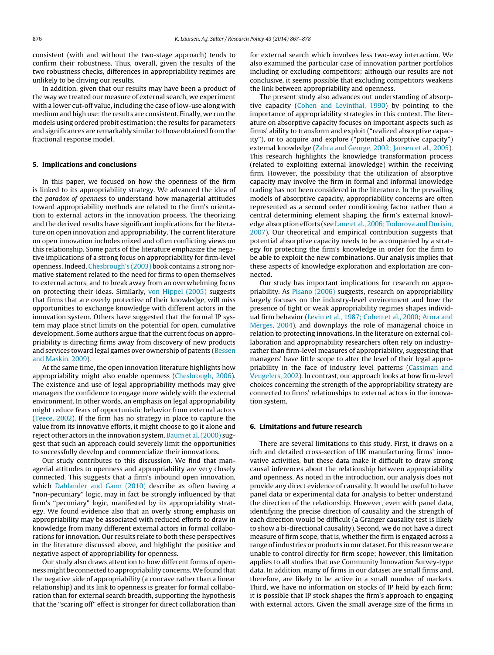<span id="page-9-0"></span>consistent (with and without the two-stage approach) tends to confirm their robustness. Thus, overall, given the results of the two robustness checks, differences in appropriability regimes are unlikely to be driving our results.

In addition, given that our results may have been a product of the way we treated our measure of external search, we experiment with a lower cut-off value, including the case of low-use along with medium and high use: the results are consistent. Finally, we run the models using ordered probit estimation: the results for parameters and significances are remarkably similar to those obtained from the fractional response model.

# **5. Implications and conclusions**

In this paper, we focused on how the openness of the firm is linked to its appropriability strategy. We advanced the idea of the paradox of openness to understand how managerial attitudes toward appropriability methods are related to the firm's orientation to external actors in the innovation process. The theorizing and the derived results have significant implications for the literature on open innovation and appropriability. The current literature on open innovation includes mixed and often conflicting views on this relationship. Some parts of the literature emphasize the negative implications of a strong focus on appropriability for firm-level openness. Indeed, [Chesbrough's](#page-10-0) [\(2003\)](#page-10-0) book contains a strong normative statement related to the need for firms to open themselves to external actors, and to break away from an overwhelming focus on protecting their ideas. Similarly, [von](#page-11-0) [Hippel](#page-11-0) [\(2005\)](#page-11-0) suggests that firms that are overly protective of their knowledge, will miss opportunities to exchange knowledge with different actors in the innovation system. Others have suggested that the formal IP system may place strict limits on the potential for open, cumulative development. Some authors argue that the current focus on appropriability is directing firms away from discovery of new products and services toward legal games over ownership of patents [\(Bessen](#page-10-0) [and](#page-10-0) [Maskin,](#page-10-0) [2009\).](#page-10-0)

At the same time, the open innovation literature highlights how appropriability might also enable openness [\(Chesbrough,](#page-10-0) [2006\).](#page-10-0) The existence and use of legal appropriability methods may give managers the confidence to engage more widely with the external environment. In other words, an emphasis on legal appropriability might reduce fears of opportunistic behavior from external actors ([Teece,](#page-11-0) [2002\).](#page-11-0) If the firm has no strategy in place to capture the value from its innovative efforts, it might choose to go it alone and reject other actors in the innovation system. [Baum](#page-10-0) et [al.\(2000\)](#page-10-0) suggest that such an approach could severely limit the opportunities to successfully develop and commercialize their innovations.

Our study contributes to this discussion. We find that managerial attitudes to openness and appropriability are very closely connected. This suggests that a firm's inbound open innovation, which [Dahlander](#page-10-0) [and](#page-10-0) [Gann](#page-10-0) [\(2010\)](#page-10-0) describe as often having a "non-pecuniary" logic, may in fact be strongly influenced by that firm's "pecuniary" logic, manifested by its appropriability strategy. We found evidence also that an overly strong emphasis on appropriability may be associated with reduced efforts to draw in knowledge from many different external actors in formal collaborations for innovation. Our results relate to both these perspectives in the literature discussed above, and highlight the positive and negative aspect of appropriability for openness.

Our study also draws attention to how different forms of opennessmight be connected to appropriability concerns.We found that the negative side of appropriability (a concave rather than a linear relationship) and its link to openness is greater for formal collaboration than for external search breadth, supporting the hypothesis that the "scaring off" effect is stronger for direct collaboration than

for external search which involves less two-way interaction. We also examined the particular case of innovation partner portfolios including or excluding competitors; although our results are not conclusive, it seems possible that excluding competitors weakens the link between appropriability and openness.

The present study also advances out understanding of absorptive capacity [\(Cohen](#page-10-0) [and](#page-10-0) [Levinthal,](#page-10-0) [1990\)](#page-10-0) by pointing to the importance of appropriability strategies in this context. The literature on absorptive capacity focuses on important aspects such as firms' ability to transform and exploit ("realized absorptive capacity"), or to acquire and explore ("potential absorptive capacity") external knowledge ([Zahra](#page-11-0) [and](#page-11-0) [George,](#page-11-0) [2002;](#page-11-0) [Jansen](#page-11-0) et [al.,](#page-11-0) [2005\).](#page-11-0) This research highlights the knowledge transformation process (related to exploiting external knowledge) within the receiving firm. However, the possibility that the utilization of absorptive capacity may involve the firm in formal and informal knowledge trading has not been considered in the literature. In the prevailing models of absorptive capacity, appropriability concerns are often represented as a second order conditioning factor rather than a central determining element shaping the firm's external knowledge absorption efforts (see [Lane](#page-11-0) et [al.,](#page-11-0) [2006;](#page-11-0) [Todorova](#page-11-0) [and](#page-11-0) [Durisin,](#page-11-0) [2007\).](#page-11-0) Our theoretical and empirical contribution suggests that potential absorptive capacity needs to be accompanied by a strategy for protecting the firm's knowledge in order for the firm to be able to exploit the new combinations. Our analysis implies that these aspects of knowledge exploration and exploitation are connected.

Our study has important implications for research on appro-priability. As [Pisano](#page-11-0) [\(2006\)](#page-11-0) suggests, research on appropriability largely focuses on the industry-level environment and how the presence of tight or weak appropriability regimes shapes individual firm behavior ([Levin](#page-11-0) et [al.,](#page-11-0) [1987;](#page-11-0) [Cohen](#page-11-0) et [al.,](#page-11-0) [2000;](#page-11-0) [Arora](#page-11-0) [and](#page-11-0) [Merges,](#page-11-0) [2004\),](#page-11-0) and downplays the role of managerial choice in relation to protecting innovations. In the literature on external collaboration and appropriability researchers often rely on industryrather than firm-level measures of appropriability, suggesting that managers' have little scope to alter the level of their legal appropriability in the face of industry level patterns [\(Cassiman](#page-10-0) [and](#page-10-0) [Veugelers,](#page-10-0) [2002\).](#page-10-0) In contrast, our approach looks at how firm-level choices concerning the strength of the appropriability strategy are connected to firms' relationships to external actors in the innovation system.

# **6. Limitations and future research**

There are several limitations to this study. First, it draws on a rich and detailed cross-section of UK manufacturing firms' innovative activities, but these data make it difficult to draw strong causal inferences about the relationship between appropriability and openness. As noted in the introduction, our analysis does not provide any direct evidence of causality. It would be useful to have panel data or experimental data for analysis to better understand the direction of the relationship. However, even with panel data, identifying the precise direction of causality and the strength of each direction would be difficult (a Granger causality test is likely to show a bi-directional causality). Second, we do not have a direct measure of firm scope, that is, whether the firm is engaged across a range of industries or products in our dataset. For this reason we are unable to control directly for firm scope; however, this limitation applies to all studies that use Community Innovation Survey-type data. In addition, many of firms in our dataset are small firms and, therefore, are likely to be active in a small number of markets. Third, we have no information on stocks of IP held by each firm; it is possible that IP stock shapes the firm's approach to engaging with external actors. Given the small average size of the firms in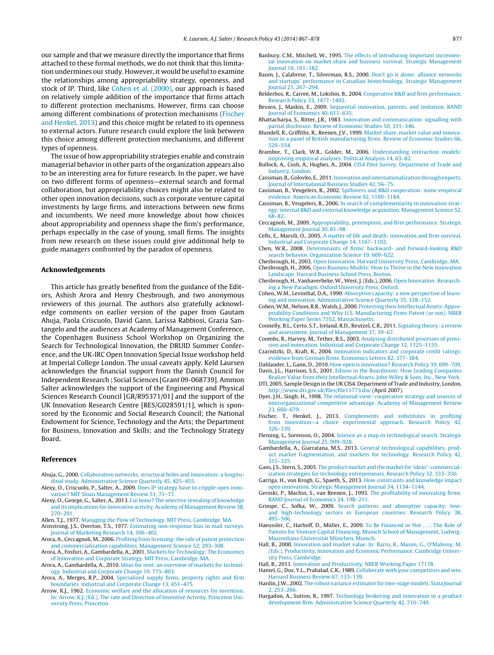<span id="page-10-0"></span>our sample and that we measure directly the importance that firms attached to these formal methods, we do not think that this limitation undermines our study. However, it would be useful to examine the relationships among appropriability strategy, openness, and stock of IP. Third, like Cohen et al. (2000), our approach is based on relatively simple addition of the importance that firms attach to different protection mechanisms. However, firms can choose among different combinations of protection mechanisms (Fischer and Henkel, 2013) and this choice might be related to its openness to external actors. Future research could explore the link between this choice among different protection mechanisms, and different types of openness.

The issue of how appropriability strategies enable and constrain managerial behavior in other parts of the organization appears also to be an interesting area for future research. In the paper, we have on two different forms of openness—external search and formal collaboration, but appropriability choices might also be related to other open innovation decisions, such as corporate venture capital investments by large firms, and interactions between new firms and incumbents. We need more knowledge about how choices about appropriability and openness shape the firm's performance, perhaps especially in the case of young, small firms. The insights from new research on these issues could give additional help to guide managers confronted by the paradox of openness.

# **Acknowledgements**

This article has greatly benefited from the guidance of the Editors, Ashish Arora and Henry Chesbrough, and two anonymous reviewers of this journal. The authors also gratefully acknowledge comments on earlier version of the paper from Gautam Ahuja, Paola Criscuolo, David Gann, Larissa Rabbiosi, Grazia Santangelo and the audiences at Academy of Management Conference, the Copenhagen Business School Workshop on Organizing the Search for Technological Innovation, the DRUID Summer Conference, and the UK-IRC Open Innovation Special Issue workshop held at Imperial College London. The usual caveats apply. Keld Laursen acknowledges the financial support from the Danish Council for Independent Research | Social Sciences [Grant 09-068739]. Ammon Salter acknowledges the support of the Engineering and Physical Sciences Research Council [GR/R95371/01] and the support of the UK Innovation Research Centre [RES/G028591/1], which is sponsored by the Economic and Social Research Council; the National Endowment for Science, Technology and the Arts; the Department for Business, Innovation and Skills; and the Technology Strategy Board.

# **References**

- Ahuja, G., 2000. [Collaboration](http://refhub.elsevier.com/S0048-7333(13)00183-2/sbref0005) [networks,](http://refhub.elsevier.com/S0048-7333(13)00183-2/sbref0005) [structural](http://refhub.elsevier.com/S0048-7333(13)00183-2/sbref0005) [holes](http://refhub.elsevier.com/S0048-7333(13)00183-2/sbref0005) [and](http://refhub.elsevier.com/S0048-7333(13)00183-2/sbref0005) [innovation:](http://refhub.elsevier.com/S0048-7333(13)00183-2/sbref0005) [a](http://refhub.elsevier.com/S0048-7333(13)00183-2/sbref0005) [longitu](http://refhub.elsevier.com/S0048-7333(13)00183-2/sbref0005)[dinal](http://refhub.elsevier.com/S0048-7333(13)00183-2/sbref0005) [study.](http://refhub.elsevier.com/S0048-7333(13)00183-2/sbref0005) [Administrative](http://refhub.elsevier.com/S0048-7333(13)00183-2/sbref0005) [Science](http://refhub.elsevier.com/S0048-7333(13)00183-2/sbref0005) [Quarterly](http://refhub.elsevier.com/S0048-7333(13)00183-2/sbref0005) [45,](http://refhub.elsevier.com/S0048-7333(13)00183-2/sbref0005) [425](http://refhub.elsevier.com/S0048-7333(13)00183-2/sbref0005)–[455.](http://refhub.elsevier.com/S0048-7333(13)00183-2/sbref0005)
- Alexy, O., Criscuolo, P., Salter, A., 2009. [Does](http://refhub.elsevier.com/S0048-7333(13)00183-2/sbref0010) [IP](http://refhub.elsevier.com/S0048-7333(13)00183-2/sbref0010) [strategy](http://refhub.elsevier.com/S0048-7333(13)00183-2/sbref0010) [have](http://refhub.elsevier.com/S0048-7333(13)00183-2/sbref0010) [to](http://refhub.elsevier.com/S0048-7333(13)00183-2/sbref0010) [cripple](http://refhub.elsevier.com/S0048-7333(13)00183-2/sbref0010) [open](http://refhub.elsevier.com/S0048-7333(13)00183-2/sbref0010) [inno](http://refhub.elsevier.com/S0048-7333(13)00183-2/sbref0010)[vation?](http://refhub.elsevier.com/S0048-7333(13)00183-2/sbref0010) [MIT](http://refhub.elsevier.com/S0048-7333(13)00183-2/sbref0010) [Sloan](http://refhub.elsevier.com/S0048-7333(13)00183-2/sbref0010) [Management](http://refhub.elsevier.com/S0048-7333(13)00183-2/sbref0010) [Review](http://refhub.elsevier.com/S0048-7333(13)00183-2/sbref0010) [51,](http://refhub.elsevier.com/S0048-7333(13)00183-2/sbref0010) [71](http://refhub.elsevier.com/S0048-7333(13)00183-2/sbref0010)–[77.](http://refhub.elsevier.com/S0048-7333(13)00183-2/sbref0010)
- Alexy, O., George, G., Salter, A., 2013. [Cui](http://refhub.elsevier.com/S0048-7333(13)00183-2/sbref0015) [bono?](http://refhub.elsevier.com/S0048-7333(13)00183-2/sbref0015) [The](http://refhub.elsevier.com/S0048-7333(13)00183-2/sbref0015) [selective](http://refhub.elsevier.com/S0048-7333(13)00183-2/sbref0015) [revealing](http://refhub.elsevier.com/S0048-7333(13)00183-2/sbref0015) [of](http://refhub.elsevier.com/S0048-7333(13)00183-2/sbref0015) [knowledge](http://refhub.elsevier.com/S0048-7333(13)00183-2/sbref0015) [and](http://refhub.elsevier.com/S0048-7333(13)00183-2/sbref0015) [its](http://refhub.elsevier.com/S0048-7333(13)00183-2/sbref0015) [implications](http://refhub.elsevier.com/S0048-7333(13)00183-2/sbref0015) [for](http://refhub.elsevier.com/S0048-7333(13)00183-2/sbref0015) [innovative](http://refhub.elsevier.com/S0048-7333(13)00183-2/sbref0015) [activity.](http://refhub.elsevier.com/S0048-7333(13)00183-2/sbref0015) [Academy](http://refhub.elsevier.com/S0048-7333(13)00183-2/sbref0015) [of](http://refhub.elsevier.com/S0048-7333(13)00183-2/sbref0015) [Management](http://refhub.elsevier.com/S0048-7333(13)00183-2/sbref0015) [Review](http://refhub.elsevier.com/S0048-7333(13)00183-2/sbref0015) [38,](http://refhub.elsevier.com/S0048-7333(13)00183-2/sbref0015) [270–291.](http://refhub.elsevier.com/S0048-7333(13)00183-2/sbref0015)
- Allen, T.J., 1977. [Managing](http://refhub.elsevier.com/S0048-7333(13)00183-2/sbref0020) [the](http://refhub.elsevier.com/S0048-7333(13)00183-2/sbref0020) [Flow](http://refhub.elsevier.com/S0048-7333(13)00183-2/sbref0020) [of](http://refhub.elsevier.com/S0048-7333(13)00183-2/sbref0020) [Technology.](http://refhub.elsevier.com/S0048-7333(13)00183-2/sbref0020) [MIT](http://refhub.elsevier.com/S0048-7333(13)00183-2/sbref0020) [Press,](http://refhub.elsevier.com/S0048-7333(13)00183-2/sbref0020) [Cambridge,](http://refhub.elsevier.com/S0048-7333(13)00183-2/sbref0020) [MA.](http://refhub.elsevier.com/S0048-7333(13)00183-2/sbref0020)
- Armstrong, J.S., Overton, T.S., 1977. [Estimating](http://refhub.elsevier.com/S0048-7333(13)00183-2/sbref0025) [non-response](http://refhub.elsevier.com/S0048-7333(13)00183-2/sbref0025) [bias](http://refhub.elsevier.com/S0048-7333(13)00183-2/sbref0025) [in](http://refhub.elsevier.com/S0048-7333(13)00183-2/sbref0025) [mail](http://refhub.elsevier.com/S0048-7333(13)00183-2/sbref0025) [surveys.](http://refhub.elsevier.com/S0048-7333(13)00183-2/sbref0025) [Journal](http://refhub.elsevier.com/S0048-7333(13)00183-2/sbref0025) [of](http://refhub.elsevier.com/S0048-7333(13)00183-2/sbref0025) [Marketing](http://refhub.elsevier.com/S0048-7333(13)00183-2/sbref0025) [Research](http://refhub.elsevier.com/S0048-7333(13)00183-2/sbref0025) [14,](http://refhub.elsevier.com/S0048-7333(13)00183-2/sbref0025) [396](http://refhub.elsevier.com/S0048-7333(13)00183-2/sbref0025)–[402.](http://refhub.elsevier.com/S0048-7333(13)00183-2/sbref0025)
- Arora, A., Ceccagnoli, M., 2006. [Profiting](http://refhub.elsevier.com/S0048-7333(13)00183-2/sbref0030) [from](http://refhub.elsevier.com/S0048-7333(13)00183-2/sbref0030) licensing: the [role](http://refhub.elsevier.com/S0048-7333(13)00183-2/sbref0030) [of](http://refhub.elsevier.com/S0048-7333(13)00183-2/sbref0030) [patent](http://refhub.elsevier.com/S0048-7333(13)00183-2/sbref0030) [protection](http://refhub.elsevier.com/S0048-7333(13)00183-2/sbref0030) [and](http://refhub.elsevier.com/S0048-7333(13)00183-2/sbref0030) [commercialization](http://refhub.elsevier.com/S0048-7333(13)00183-2/sbref0030) [capabilities.](http://refhub.elsevier.com/S0048-7333(13)00183-2/sbref0030) [Management](http://refhub.elsevier.com/S0048-7333(13)00183-2/sbref0030) [Science](http://refhub.elsevier.com/S0048-7333(13)00183-2/sbref0030) [52,](http://refhub.elsevier.com/S0048-7333(13)00183-2/sbref0030) [293](http://refhub.elsevier.com/S0048-7333(13)00183-2/sbref0030)–[308.](http://refhub.elsevier.com/S0048-7333(13)00183-2/sbref0030) Arora, A., Fosfuri, A., Gambardella, A., 2001. [Markets](http://refhub.elsevier.com/S0048-7333(13)00183-2/sbref0035) [for](http://refhub.elsevier.com/S0048-7333(13)00183-2/sbref0035) [Technology:](http://refhub.elsevier.com/S0048-7333(13)00183-2/sbref0035) [The](http://refhub.elsevier.com/S0048-7333(13)00183-2/sbref0035) [Economics](http://refhub.elsevier.com/S0048-7333(13)00183-2/sbref0035)
- [of](http://refhub.elsevier.com/S0048-7333(13)00183-2/sbref0035) [Innovation](http://refhub.elsevier.com/S0048-7333(13)00183-2/sbref0035) [and](http://refhub.elsevier.com/S0048-7333(13)00183-2/sbref0035) [Corporate](http://refhub.elsevier.com/S0048-7333(13)00183-2/sbref0035) [Strategy.](http://refhub.elsevier.com/S0048-7333(13)00183-2/sbref0035) [MIT](http://refhub.elsevier.com/S0048-7333(13)00183-2/sbref0035) [Press,](http://refhub.elsevier.com/S0048-7333(13)00183-2/sbref0035) [Cambridge,](http://refhub.elsevier.com/S0048-7333(13)00183-2/sbref0035) [MA.](http://refhub.elsevier.com/S0048-7333(13)00183-2/sbref0035) Arora, A., Gambardella, A., 2010. [Ideas](http://refhub.elsevier.com/S0048-7333(13)00183-2/sbref0040) [for](http://refhub.elsevier.com/S0048-7333(13)00183-2/sbref0040) [rent:](http://refhub.elsevier.com/S0048-7333(13)00183-2/sbref0040) [an](http://refhub.elsevier.com/S0048-7333(13)00183-2/sbref0040) [overview](http://refhub.elsevier.com/S0048-7333(13)00183-2/sbref0040) [of](http://refhub.elsevier.com/S0048-7333(13)00183-2/sbref0040) [markets](http://refhub.elsevier.com/S0048-7333(13)00183-2/sbref0040) [for](http://refhub.elsevier.com/S0048-7333(13)00183-2/sbref0040) [technol-](http://refhub.elsevier.com/S0048-7333(13)00183-2/sbref0040)
- [ogy.](http://refhub.elsevier.com/S0048-7333(13)00183-2/sbref0040) [Industrial](http://refhub.elsevier.com/S0048-7333(13)00183-2/sbref0040) [and](http://refhub.elsevier.com/S0048-7333(13)00183-2/sbref0040) [Corporate](http://refhub.elsevier.com/S0048-7333(13)00183-2/sbref0040) [Change](http://refhub.elsevier.com/S0048-7333(13)00183-2/sbref0040) [19,](http://refhub.elsevier.com/S0048-7333(13)00183-2/sbref0040) [775](http://refhub.elsevier.com/S0048-7333(13)00183-2/sbref0040)–[803.](http://refhub.elsevier.com/S0048-7333(13)00183-2/sbref0040)
- Arora, A., Merges, R.P., 2004. [Specialized](http://refhub.elsevier.com/S0048-7333(13)00183-2/sbref0045) [supply](http://refhub.elsevier.com/S0048-7333(13)00183-2/sbref0045) [firms,](http://refhub.elsevier.com/S0048-7333(13)00183-2/sbref0045) [property](http://refhub.elsevier.com/S0048-7333(13)00183-2/sbref0045) [rights](http://refhub.elsevier.com/S0048-7333(13)00183-2/sbref0045) [and](http://refhub.elsevier.com/S0048-7333(13)00183-2/sbref0045) [firm](http://refhub.elsevier.com/S0048-7333(13)00183-2/sbref0045) [boundaries.](http://refhub.elsevier.com/S0048-7333(13)00183-2/sbref0045) [Industrial](http://refhub.elsevier.com/S0048-7333(13)00183-2/sbref0045) [and](http://refhub.elsevier.com/S0048-7333(13)00183-2/sbref0045) [Corporate](http://refhub.elsevier.com/S0048-7333(13)00183-2/sbref0045) [Change](http://refhub.elsevier.com/S0048-7333(13)00183-2/sbref0045) [13,](http://refhub.elsevier.com/S0048-7333(13)00183-2/sbref0045) [451–475.](http://refhub.elsevier.com/S0048-7333(13)00183-2/sbref0045)
- Arrow, K.J., 1962. [Economic](http://refhub.elsevier.com/S0048-7333(13)00183-2/sbref0050) [welfare](http://refhub.elsevier.com/S0048-7333(13)00183-2/sbref0050) [and](http://refhub.elsevier.com/S0048-7333(13)00183-2/sbref0050) [the](http://refhub.elsevier.com/S0048-7333(13)00183-2/sbref0050) [allocation](http://refhub.elsevier.com/S0048-7333(13)00183-2/sbref0050) [of](http://refhub.elsevier.com/S0048-7333(13)00183-2/sbref0050) [resources](http://refhub.elsevier.com/S0048-7333(13)00183-2/sbref0050) [for](http://refhub.elsevier.com/S0048-7333(13)00183-2/sbref0050) [invention.](http://refhub.elsevier.com/S0048-7333(13)00183-2/sbref0050) [In:](http://refhub.elsevier.com/S0048-7333(13)00183-2/sbref0050) [Arrow,](http://refhub.elsevier.com/S0048-7333(13)00183-2/sbref0050) [K.J.](http://refhub.elsevier.com/S0048-7333(13)00183-2/sbref0050) [\(Ed.\),](http://refhub.elsevier.com/S0048-7333(13)00183-2/sbref0050) [The](http://refhub.elsevier.com/S0048-7333(13)00183-2/sbref0050) [rate](http://refhub.elsevier.com/S0048-7333(13)00183-2/sbref0050) [and](http://refhub.elsevier.com/S0048-7333(13)00183-2/sbref0050) [Direction](http://refhub.elsevier.com/S0048-7333(13)00183-2/sbref0050) [of](http://refhub.elsevier.com/S0048-7333(13)00183-2/sbref0050) [Inventive](http://refhub.elsevier.com/S0048-7333(13)00183-2/sbref0050) [Activity.](http://refhub.elsevier.com/S0048-7333(13)00183-2/sbref0050) [Princeton](http://refhub.elsevier.com/S0048-7333(13)00183-2/sbref0050) [Uni](http://refhub.elsevier.com/S0048-7333(13)00183-2/sbref0050)[versity](http://refhub.elsevier.com/S0048-7333(13)00183-2/sbref0050) [Press,](http://refhub.elsevier.com/S0048-7333(13)00183-2/sbref0050) [Princeton.](http://refhub.elsevier.com/S0048-7333(13)00183-2/sbref0050)
- Banbury, C.M., Mitchell, W., 1995. [The](http://refhub.elsevier.com/S0048-7333(13)00183-2/sbref0055) [effects](http://refhub.elsevier.com/S0048-7333(13)00183-2/sbref0055) [of](http://refhub.elsevier.com/S0048-7333(13)00183-2/sbref0055) [introducing](http://refhub.elsevier.com/S0048-7333(13)00183-2/sbref0055) [important](http://refhub.elsevier.com/S0048-7333(13)00183-2/sbref0055) [incremen](http://refhub.elsevier.com/S0048-7333(13)00183-2/sbref0055)[tal](http://refhub.elsevier.com/S0048-7333(13)00183-2/sbref0055) [innovation](http://refhub.elsevier.com/S0048-7333(13)00183-2/sbref0055) [on](http://refhub.elsevier.com/S0048-7333(13)00183-2/sbref0055) [market](http://refhub.elsevier.com/S0048-7333(13)00183-2/sbref0055) [share](http://refhub.elsevier.com/S0048-7333(13)00183-2/sbref0055) [and](http://refhub.elsevier.com/S0048-7333(13)00183-2/sbref0055) [business](http://refhub.elsevier.com/S0048-7333(13)00183-2/sbref0055) [survival.](http://refhub.elsevier.com/S0048-7333(13)00183-2/sbref0055) [Strategic](http://refhub.elsevier.com/S0048-7333(13)00183-2/sbref0055) [Management](http://refhub.elsevier.com/S0048-7333(13)00183-2/sbref0055) [Journal](http://refhub.elsevier.com/S0048-7333(13)00183-2/sbref0055) [16,](http://refhub.elsevier.com/S0048-7333(13)00183-2/sbref0055) [161](http://refhub.elsevier.com/S0048-7333(13)00183-2/sbref0055)–[182.](http://refhub.elsevier.com/S0048-7333(13)00183-2/sbref0055)
- Baum, J., Calabrese, T., Silverman, B.S., 2000. [Don't](http://refhub.elsevier.com/S0048-7333(13)00183-2/sbref0060) [go](http://refhub.elsevier.com/S0048-7333(13)00183-2/sbref0060) [it](http://refhub.elsevier.com/S0048-7333(13)00183-2/sbref0060) [alone:](http://refhub.elsevier.com/S0048-7333(13)00183-2/sbref0060) [alliance](http://refhub.elsevier.com/S0048-7333(13)00183-2/sbref0060) [networks](http://refhub.elsevier.com/S0048-7333(13)00183-2/sbref0060) [and](http://refhub.elsevier.com/S0048-7333(13)00183-2/sbref0060) [startups'](http://refhub.elsevier.com/S0048-7333(13)00183-2/sbref0060) [performance](http://refhub.elsevier.com/S0048-7333(13)00183-2/sbref0060) [in](http://refhub.elsevier.com/S0048-7333(13)00183-2/sbref0060) [Canadian](http://refhub.elsevier.com/S0048-7333(13)00183-2/sbref0060) [biotechnology.](http://refhub.elsevier.com/S0048-7333(13)00183-2/sbref0060) [Strategic](http://refhub.elsevier.com/S0048-7333(13)00183-2/sbref0060) [Management](http://refhub.elsevier.com/S0048-7333(13)00183-2/sbref0060) [Journal](http://refhub.elsevier.com/S0048-7333(13)00183-2/sbref0060) [21,](http://refhub.elsevier.com/S0048-7333(13)00183-2/sbref0060) [267–294.](http://refhub.elsevier.com/S0048-7333(13)00183-2/sbref0060)
- Belderbos, R., Carree, M., Lokshin, B., 2004. [Cooperative](http://refhub.elsevier.com/S0048-7333(13)00183-2/sbref0065) [R&D](http://refhub.elsevier.com/S0048-7333(13)00183-2/sbref0065) [and](http://refhub.elsevier.com/S0048-7333(13)00183-2/sbref0065) [firm](http://refhub.elsevier.com/S0048-7333(13)00183-2/sbref0065) [performance.](http://refhub.elsevier.com/S0048-7333(13)00183-2/sbref0065) [Research](http://refhub.elsevier.com/S0048-7333(13)00183-2/sbref0065) [Policy](http://refhub.elsevier.com/S0048-7333(13)00183-2/sbref0065) [33,](http://refhub.elsevier.com/S0048-7333(13)00183-2/sbref0065) [1477](http://refhub.elsevier.com/S0048-7333(13)00183-2/sbref0065)–[1492.](http://refhub.elsevier.com/S0048-7333(13)00183-2/sbref0065)
- Bessen, J., Maskin, E., 2009. [Sequential](http://refhub.elsevier.com/S0048-7333(13)00183-2/sbref0070) [innovation,](http://refhub.elsevier.com/S0048-7333(13)00183-2/sbref0070) [patents,](http://refhub.elsevier.com/S0048-7333(13)00183-2/sbref0070) [and](http://refhub.elsevier.com/S0048-7333(13)00183-2/sbref0070) [imitation.](http://refhub.elsevier.com/S0048-7333(13)00183-2/sbref0070) [RAND](http://refhub.elsevier.com/S0048-7333(13)00183-2/sbref0070) [Journal](http://refhub.elsevier.com/S0048-7333(13)00183-2/sbref0070) [of](http://refhub.elsevier.com/S0048-7333(13)00183-2/sbref0070) [Economics](http://refhub.elsevier.com/S0048-7333(13)00183-2/sbref0070) [40,](http://refhub.elsevier.com/S0048-7333(13)00183-2/sbref0070) [611–635.](http://refhub.elsevier.com/S0048-7333(13)00183-2/sbref0070)
- Bhattacharya, S., Ritter, J.R., 1983. [Innovation](http://refhub.elsevier.com/S0048-7333(13)00183-2/sbref0075) [and](http://refhub.elsevier.com/S0048-7333(13)00183-2/sbref0075) [communication:](http://refhub.elsevier.com/S0048-7333(13)00183-2/sbref0075) [signalling](http://refhub.elsevier.com/S0048-7333(13)00183-2/sbref0075) [with](http://refhub.elsevier.com/S0048-7333(13)00183-2/sbref0075) [partial](http://refhub.elsevier.com/S0048-7333(13)00183-2/sbref0075) [disclosure.](http://refhub.elsevier.com/S0048-7333(13)00183-2/sbref0075) [Review](http://refhub.elsevier.com/S0048-7333(13)00183-2/sbref0075) [of](http://refhub.elsevier.com/S0048-7333(13)00183-2/sbref0075) [Economic](http://refhub.elsevier.com/S0048-7333(13)00183-2/sbref0075) [Studies](http://refhub.elsevier.com/S0048-7333(13)00183-2/sbref0075) [50,](http://refhub.elsevier.com/S0048-7333(13)00183-2/sbref0075) [331–346.](http://refhub.elsevier.com/S0048-7333(13)00183-2/sbref0075)
- Blundell, R., Griffiths, R., Reenen, J.V., 1999. [Market](http://refhub.elsevier.com/S0048-7333(13)00183-2/sbref0080) [share,](http://refhub.elsevier.com/S0048-7333(13)00183-2/sbref0080) [market](http://refhub.elsevier.com/S0048-7333(13)00183-2/sbref0080) [value](http://refhub.elsevier.com/S0048-7333(13)00183-2/sbref0080) [and](http://refhub.elsevier.com/S0048-7333(13)00183-2/sbref0080) [innova](http://refhub.elsevier.com/S0048-7333(13)00183-2/sbref0080)[tion](http://refhub.elsevier.com/S0048-7333(13)00183-2/sbref0080) [in](http://refhub.elsevier.com/S0048-7333(13)00183-2/sbref0080) [a](http://refhub.elsevier.com/S0048-7333(13)00183-2/sbref0080) [panel](http://refhub.elsevier.com/S0048-7333(13)00183-2/sbref0080) [of](http://refhub.elsevier.com/S0048-7333(13)00183-2/sbref0080) [British](http://refhub.elsevier.com/S0048-7333(13)00183-2/sbref0080) [manufacturing](http://refhub.elsevier.com/S0048-7333(13)00183-2/sbref0080) [firms.](http://refhub.elsevier.com/S0048-7333(13)00183-2/sbref0080) [Review](http://refhub.elsevier.com/S0048-7333(13)00183-2/sbref0080) [of](http://refhub.elsevier.com/S0048-7333(13)00183-2/sbref0080) [Economic](http://refhub.elsevier.com/S0048-7333(13)00183-2/sbref0080) [Studies](http://refhub.elsevier.com/S0048-7333(13)00183-2/sbref0080) [66,](http://refhub.elsevier.com/S0048-7333(13)00183-2/sbref0080) [529–554.](http://refhub.elsevier.com/S0048-7333(13)00183-2/sbref0080)
- Brambor, T., Clark, W.R., Golder, M., 2006. [Understanding](http://refhub.elsevier.com/S0048-7333(13)00183-2/sbref0085) [interaction](http://refhub.elsevier.com/S0048-7333(13)00183-2/sbref0085) [models:](http://refhub.elsevier.com/S0048-7333(13)00183-2/sbref0085) [improving](http://refhub.elsevier.com/S0048-7333(13)00183-2/sbref0085) [empirical](http://refhub.elsevier.com/S0048-7333(13)00183-2/sbref0085) [analyses.](http://refhub.elsevier.com/S0048-7333(13)00183-2/sbref0085) [Political](http://refhub.elsevier.com/S0048-7333(13)00183-2/sbref0085) [Analysis](http://refhub.elsevier.com/S0048-7333(13)00183-2/sbref0085) [14,](http://refhub.elsevier.com/S0048-7333(13)00183-2/sbref0085) [63–82.](http://refhub.elsevier.com/S0048-7333(13)00183-2/sbref0085)
- Bullock, A., Cosh, A., Hughes, A., 2004. [CIS4](http://refhub.elsevier.com/S0048-7333(13)00183-2/sbref0090) [Pilot](http://refhub.elsevier.com/S0048-7333(13)00183-2/sbref0090) [Survey.](http://refhub.elsevier.com/S0048-7333(13)00183-2/sbref0090) [Department](http://refhub.elsevier.com/S0048-7333(13)00183-2/sbref0090) [of](http://refhub.elsevier.com/S0048-7333(13)00183-2/sbref0090) [Trade](http://refhub.elsevier.com/S0048-7333(13)00183-2/sbref0090) [and](http://refhub.elsevier.com/S0048-7333(13)00183-2/sbref0090) [Industry,](http://refhub.elsevier.com/S0048-7333(13)00183-2/sbref0090) [London.](http://refhub.elsevier.com/S0048-7333(13)00183-2/sbref0090)
- Cassiman,B., Golovko, E., 2011.[Innovationand](http://refhub.elsevier.com/S0048-7333(13)00183-2/sbref0095) [internationalizationthroughexports.](http://refhub.elsevier.com/S0048-7333(13)00183-2/sbref0095) [Journal](http://refhub.elsevier.com/S0048-7333(13)00183-2/sbref0095) [of](http://refhub.elsevier.com/S0048-7333(13)00183-2/sbref0095) [International](http://refhub.elsevier.com/S0048-7333(13)00183-2/sbref0095) [Business](http://refhub.elsevier.com/S0048-7333(13)00183-2/sbref0095) [Studies](http://refhub.elsevier.com/S0048-7333(13)00183-2/sbref0095) [42,](http://refhub.elsevier.com/S0048-7333(13)00183-2/sbref0095) [56–75.](http://refhub.elsevier.com/S0048-7333(13)00183-2/sbref0095)
- Cassiman, B., Veugelers, R., 2002. [Spillovers](http://refhub.elsevier.com/S0048-7333(13)00183-2/sbref0100) [and](http://refhub.elsevier.com/S0048-7333(13)00183-2/sbref0100) [R&D](http://refhub.elsevier.com/S0048-7333(13)00183-2/sbref0100) [cooperation:](http://refhub.elsevier.com/S0048-7333(13)00183-2/sbref0100) [some](http://refhub.elsevier.com/S0048-7333(13)00183-2/sbref0100) [empirical](http://refhub.elsevier.com/S0048-7333(13)00183-2/sbref0100) [evidence.](http://refhub.elsevier.com/S0048-7333(13)00183-2/sbref0100) [American](http://refhub.elsevier.com/S0048-7333(13)00183-2/sbref0100) [Economic](http://refhub.elsevier.com/S0048-7333(13)00183-2/sbref0100) [Review](http://refhub.elsevier.com/S0048-7333(13)00183-2/sbref0100) [92,](http://refhub.elsevier.com/S0048-7333(13)00183-2/sbref0100) [1169–1184.](http://refhub.elsevier.com/S0048-7333(13)00183-2/sbref0100)
- Cassiman, B., Veugelers, R., 2006. [In](http://refhub.elsevier.com/S0048-7333(13)00183-2/sbref0105) [search](http://refhub.elsevier.com/S0048-7333(13)00183-2/sbref0105) [of](http://refhub.elsevier.com/S0048-7333(13)00183-2/sbref0105) [complementarity](http://refhub.elsevier.com/S0048-7333(13)00183-2/sbref0105) [in](http://refhub.elsevier.com/S0048-7333(13)00183-2/sbref0105) [innovation](http://refhub.elsevier.com/S0048-7333(13)00183-2/sbref0105) [strat](http://refhub.elsevier.com/S0048-7333(13)00183-2/sbref0105)[egy:](http://refhub.elsevier.com/S0048-7333(13)00183-2/sbref0105) [internal](http://refhub.elsevier.com/S0048-7333(13)00183-2/sbref0105) [R&D](http://refhub.elsevier.com/S0048-7333(13)00183-2/sbref0105) [and](http://refhub.elsevier.com/S0048-7333(13)00183-2/sbref0105) [external](http://refhub.elsevier.com/S0048-7333(13)00183-2/sbref0105) [knowledge](http://refhub.elsevier.com/S0048-7333(13)00183-2/sbref0105) [acquisition.](http://refhub.elsevier.com/S0048-7333(13)00183-2/sbref0105) [Management](http://refhub.elsevier.com/S0048-7333(13)00183-2/sbref0105) [Science](http://refhub.elsevier.com/S0048-7333(13)00183-2/sbref0105) [52,](http://refhub.elsevier.com/S0048-7333(13)00183-2/sbref0105) [68](http://refhub.elsevier.com/S0048-7333(13)00183-2/sbref0105)–[82.](http://refhub.elsevier.com/S0048-7333(13)00183-2/sbref0105)
- Ceccagnoli, M., 2009. [Appropriability,](http://refhub.elsevier.com/S0048-7333(13)00183-2/sbref0110) [preemption,](http://refhub.elsevier.com/S0048-7333(13)00183-2/sbref0110) [and](http://refhub.elsevier.com/S0048-7333(13)00183-2/sbref0110) [firm](http://refhub.elsevier.com/S0048-7333(13)00183-2/sbref0110) [performance.](http://refhub.elsevier.com/S0048-7333(13)00183-2/sbref0110) [Strategic](http://refhub.elsevier.com/S0048-7333(13)00183-2/sbref0110) [Management](http://refhub.elsevier.com/S0048-7333(13)00183-2/sbref0110) [Journal](http://refhub.elsevier.com/S0048-7333(13)00183-2/sbref0110) [30,](http://refhub.elsevier.com/S0048-7333(13)00183-2/sbref0110) [81–98.](http://refhub.elsevier.com/S0048-7333(13)00183-2/sbref0110)
- Cefis, E., Marsili, O., 2005. [A](http://refhub.elsevier.com/S0048-7333(13)00183-2/sbref0115) [matter](http://refhub.elsevier.com/S0048-7333(13)00183-2/sbref0115) [of](http://refhub.elsevier.com/S0048-7333(13)00183-2/sbref0115) [life](http://refhub.elsevier.com/S0048-7333(13)00183-2/sbref0115) [and](http://refhub.elsevier.com/S0048-7333(13)00183-2/sbref0115) [death:](http://refhub.elsevier.com/S0048-7333(13)00183-2/sbref0115) [innovation](http://refhub.elsevier.com/S0048-7333(13)00183-2/sbref0115) [and](http://refhub.elsevier.com/S0048-7333(13)00183-2/sbref0115) [firm](http://refhub.elsevier.com/S0048-7333(13)00183-2/sbref0115) [survival.](http://refhub.elsevier.com/S0048-7333(13)00183-2/sbref0115) [Industrial](http://refhub.elsevier.com/S0048-7333(13)00183-2/sbref0115) [and](http://refhub.elsevier.com/S0048-7333(13)00183-2/sbref0115) [Corporate](http://refhub.elsevier.com/S0048-7333(13)00183-2/sbref0115) [Change](http://refhub.elsevier.com/S0048-7333(13)00183-2/sbref0115) [14,](http://refhub.elsevier.com/S0048-7333(13)00183-2/sbref0115) [1167](http://refhub.elsevier.com/S0048-7333(13)00183-2/sbref0115)–[1192.](http://refhub.elsevier.com/S0048-7333(13)00183-2/sbref0115)
- Chen, W.R., 2008. [Determinants](http://refhub.elsevier.com/S0048-7333(13)00183-2/sbref0120) [of](http://refhub.elsevier.com/S0048-7333(13)00183-2/sbref0120) [firms'](http://refhub.elsevier.com/S0048-7333(13)00183-2/sbref0120) [backward-](http://refhub.elsevier.com/S0048-7333(13)00183-2/sbref0120) [and](http://refhub.elsevier.com/S0048-7333(13)00183-2/sbref0120) [forward-looking](http://refhub.elsevier.com/S0048-7333(13)00183-2/sbref0120) [R&D](http://refhub.elsevier.com/S0048-7333(13)00183-2/sbref0120) [search](http://refhub.elsevier.com/S0048-7333(13)00183-2/sbref0120) [behavior.](http://refhub.elsevier.com/S0048-7333(13)00183-2/sbref0120) [Organization](http://refhub.elsevier.com/S0048-7333(13)00183-2/sbref0120) [Science](http://refhub.elsevier.com/S0048-7333(13)00183-2/sbref0120) [19,](http://refhub.elsevier.com/S0048-7333(13)00183-2/sbref0120) [609](http://refhub.elsevier.com/S0048-7333(13)00183-2/sbref0120)–[622.](http://refhub.elsevier.com/S0048-7333(13)00183-2/sbref0120)
- Chesbrough, H., 2003. [Open](http://refhub.elsevier.com/S0048-7333(13)00183-2/sbref0125) [Innovation.](http://refhub.elsevier.com/S0048-7333(13)00183-2/sbref0125) [Harvard](http://refhub.elsevier.com/S0048-7333(13)00183-2/sbref0125) [University](http://refhub.elsevier.com/S0048-7333(13)00183-2/sbref0125) [Press,](http://refhub.elsevier.com/S0048-7333(13)00183-2/sbref0125) [Cambridge,](http://refhub.elsevier.com/S0048-7333(13)00183-2/sbref0125) [MA.](http://refhub.elsevier.com/S0048-7333(13)00183-2/sbref0125)
- Chesbrough, H., 2006. [Open](http://refhub.elsevier.com/S0048-7333(13)00183-2/sbref0130) [Business](http://refhub.elsevier.com/S0048-7333(13)00183-2/sbref0130) [Models:](http://refhub.elsevier.com/S0048-7333(13)00183-2/sbref0130) [How](http://refhub.elsevier.com/S0048-7333(13)00183-2/sbref0130) [to](http://refhub.elsevier.com/S0048-7333(13)00183-2/sbref0130) [Thrive](http://refhub.elsevier.com/S0048-7333(13)00183-2/sbref0130) [in](http://refhub.elsevier.com/S0048-7333(13)00183-2/sbref0130) [the](http://refhub.elsevier.com/S0048-7333(13)00183-2/sbref0130) [New](http://refhub.elsevier.com/S0048-7333(13)00183-2/sbref0130) [Innovation](http://refhub.elsevier.com/S0048-7333(13)00183-2/sbref0130) [Landscape.](http://refhub.elsevier.com/S0048-7333(13)00183-2/sbref0130) [Harvard](http://refhub.elsevier.com/S0048-7333(13)00183-2/sbref0130) [Business](http://refhub.elsevier.com/S0048-7333(13)00183-2/sbref0130) [School](http://refhub.elsevier.com/S0048-7333(13)00183-2/sbref0130) [Press,](http://refhub.elsevier.com/S0048-7333(13)00183-2/sbref0130) [Boston.](http://refhub.elsevier.com/S0048-7333(13)00183-2/sbref0130)
- Chesbrough, H., Vanhaverbeke, W., West, J.(Eds.), 2006. [Open](http://refhub.elsevier.com/S0048-7333(13)00183-2/sbref0135) [Innovation:](http://refhub.elsevier.com/S0048-7333(13)00183-2/sbref0135) [Research](http://refhub.elsevier.com/S0048-7333(13)00183-2/sbref0135)[ing](http://refhub.elsevier.com/S0048-7333(13)00183-2/sbref0135) [a](http://refhub.elsevier.com/S0048-7333(13)00183-2/sbref0135) [New](http://refhub.elsevier.com/S0048-7333(13)00183-2/sbref0135) [Paradigm.](http://refhub.elsevier.com/S0048-7333(13)00183-2/sbref0135) [Oxford](http://refhub.elsevier.com/S0048-7333(13)00183-2/sbref0135) [University](http://refhub.elsevier.com/S0048-7333(13)00183-2/sbref0135) [Press,](http://refhub.elsevier.com/S0048-7333(13)00183-2/sbref0135) [Oxford.](http://refhub.elsevier.com/S0048-7333(13)00183-2/sbref0135)
- Cohen, W.M., Levinthal, D.A., 1990. [Absorptive](http://refhub.elsevier.com/S0048-7333(13)00183-2/sbref0140) [capacity:](http://refhub.elsevier.com/S0048-7333(13)00183-2/sbref0140) [a](http://refhub.elsevier.com/S0048-7333(13)00183-2/sbref0140) [new](http://refhub.elsevier.com/S0048-7333(13)00183-2/sbref0140) [perspective](http://refhub.elsevier.com/S0048-7333(13)00183-2/sbref0140) [of](http://refhub.elsevier.com/S0048-7333(13)00183-2/sbref0140) [learn](http://refhub.elsevier.com/S0048-7333(13)00183-2/sbref0140)[ing](http://refhub.elsevier.com/S0048-7333(13)00183-2/sbref0140) [and](http://refhub.elsevier.com/S0048-7333(13)00183-2/sbref0140) [innovation.](http://refhub.elsevier.com/S0048-7333(13)00183-2/sbref0140) [Administrative](http://refhub.elsevier.com/S0048-7333(13)00183-2/sbref0140) [Science](http://refhub.elsevier.com/S0048-7333(13)00183-2/sbref0140) [Quarterly](http://refhub.elsevier.com/S0048-7333(13)00183-2/sbref0140) [35,](http://refhub.elsevier.com/S0048-7333(13)00183-2/sbref0140) [128](http://refhub.elsevier.com/S0048-7333(13)00183-2/sbref0140)–[152.](http://refhub.elsevier.com/S0048-7333(13)00183-2/sbref0140)
- Cohen, W.M., Nelson, R.R., Walsh, J., 2000. [Protecting](http://refhub.elsevier.com/S0048-7333(13)00183-2/sbref0145) [their](http://refhub.elsevier.com/S0048-7333(13)00183-2/sbref0145) Intellectual Assets: Appro[priability](http://refhub.elsevier.com/S0048-7333(13)00183-2/sbref0145) [Conditions](http://refhub.elsevier.com/S0048-7333(13)00183-2/sbref0145) [and](http://refhub.elsevier.com/S0048-7333(13)00183-2/sbref0145) [Why](http://refhub.elsevier.com/S0048-7333(13)00183-2/sbref0145) [U.S.](http://refhub.elsevier.com/S0048-7333(13)00183-2/sbref0145) [Manufacturing](http://refhub.elsevier.com/S0048-7333(13)00183-2/sbref0145) [Firms](http://refhub.elsevier.com/S0048-7333(13)00183-2/sbref0145) [Patent](http://refhub.elsevier.com/S0048-7333(13)00183-2/sbref0145) [\(or](http://refhub.elsevier.com/S0048-7333(13)00183-2/sbref0145) [not\).](http://refhub.elsevier.com/S0048-7333(13)00183-2/sbref0145) [NBER](http://refhub.elsevier.com/S0048-7333(13)00183-2/sbref0145) [Working](http://refhub.elsevier.com/S0048-7333(13)00183-2/sbref0145) [Paper](http://refhub.elsevier.com/S0048-7333(13)00183-2/sbref0145) [Series](http://refhub.elsevier.com/S0048-7333(13)00183-2/sbref0145) [7552,](http://refhub.elsevier.com/S0048-7333(13)00183-2/sbref0145) [Massachusetts.](http://refhub.elsevier.com/S0048-7333(13)00183-2/sbref0145)
- Connelly, B.L., Certo, S.T., Ireland, R.D., Reutzel, C.R., 2011. [Signaling](http://refhub.elsevier.com/S0048-7333(13)00183-2/sbref0150) [theory:](http://refhub.elsevier.com/S0048-7333(13)00183-2/sbref0150) [a](http://refhub.elsevier.com/S0048-7333(13)00183-2/sbref0150) [review](http://refhub.elsevier.com/S0048-7333(13)00183-2/sbref0150) [and](http://refhub.elsevier.com/S0048-7333(13)00183-2/sbref0150) [assessment.](http://refhub.elsevier.com/S0048-7333(13)00183-2/sbref0150) [Journal](http://refhub.elsevier.com/S0048-7333(13)00183-2/sbref0150) [of](http://refhub.elsevier.com/S0048-7333(13)00183-2/sbref0150) [Management](http://refhub.elsevier.com/S0048-7333(13)00183-2/sbref0150) [37,](http://refhub.elsevier.com/S0048-7333(13)00183-2/sbref0150) [39–67.](http://refhub.elsevier.com/S0048-7333(13)00183-2/sbref0150)
- Coombs, R., Harvey, M., Tether, B.S., 2003. [Analysing](http://refhub.elsevier.com/S0048-7333(13)00183-2/sbref0155) [distributed](http://refhub.elsevier.com/S0048-7333(13)00183-2/sbref0155) [processes](http://refhub.elsevier.com/S0048-7333(13)00183-2/sbref0155) [of](http://refhub.elsevier.com/S0048-7333(13)00183-2/sbref0155) [provi](http://refhub.elsevier.com/S0048-7333(13)00183-2/sbref0155)[sion](http://refhub.elsevier.com/S0048-7333(13)00183-2/sbref0155) [and](http://refhub.elsevier.com/S0048-7333(13)00183-2/sbref0155) [innovation.](http://refhub.elsevier.com/S0048-7333(13)00183-2/sbref0155) [Industrial](http://refhub.elsevier.com/S0048-7333(13)00183-2/sbref0155) [and](http://refhub.elsevier.com/S0048-7333(13)00183-2/sbref0155) [Corporate](http://refhub.elsevier.com/S0048-7333(13)00183-2/sbref0155) [Change](http://refhub.elsevier.com/S0048-7333(13)00183-2/sbref0155) [12,](http://refhub.elsevier.com/S0048-7333(13)00183-2/sbref0155) [1125–1155.](http://refhub.elsevier.com/S0048-7333(13)00183-2/sbref0155)
- Czarnitzki, D., Kraft, K., 2004. [Innovation](http://refhub.elsevier.com/S0048-7333(13)00183-2/sbref0160) [indicators](http://refhub.elsevier.com/S0048-7333(13)00183-2/sbref0160) [and](http://refhub.elsevier.com/S0048-7333(13)00183-2/sbref0160) [corporate](http://refhub.elsevier.com/S0048-7333(13)00183-2/sbref0160) [credit](http://refhub.elsevier.com/S0048-7333(13)00183-2/sbref0160) [ratings:](http://refhub.elsevier.com/S0048-7333(13)00183-2/sbref0160) [evidence](http://refhub.elsevier.com/S0048-7333(13)00183-2/sbref0160) [from](http://refhub.elsevier.com/S0048-7333(13)00183-2/sbref0160) [German](http://refhub.elsevier.com/S0048-7333(13)00183-2/sbref0160) [firms.](http://refhub.elsevier.com/S0048-7333(13)00183-2/sbref0160) [Economics](http://refhub.elsevier.com/S0048-7333(13)00183-2/sbref0160) [Letters](http://refhub.elsevier.com/S0048-7333(13)00183-2/sbref0160) [82,](http://refhub.elsevier.com/S0048-7333(13)00183-2/sbref0160) [377–384.](http://refhub.elsevier.com/S0048-7333(13)00183-2/sbref0160)
- Dahlander, L., Gann, D., 2010. [How](http://refhub.elsevier.com/S0048-7333(13)00183-2/sbref0165) [open](http://refhub.elsevier.com/S0048-7333(13)00183-2/sbref0165) [is](http://refhub.elsevier.com/S0048-7333(13)00183-2/sbref0165) [innovation?](http://refhub.elsevier.com/S0048-7333(13)00183-2/sbref0165) [Research](http://refhub.elsevier.com/S0048-7333(13)00183-2/sbref0165) [Policy](http://refhub.elsevier.com/S0048-7333(13)00183-2/sbref0165) [39,](http://refhub.elsevier.com/S0048-7333(13)00183-2/sbref0165) [699–709.](http://refhub.elsevier.com/S0048-7333(13)00183-2/sbref0165) Davis, J.L., Harrison, S.S., 2001. [Edison](http://refhub.elsevier.com/S0048-7333(13)00183-2/sbref0170) [in](http://refhub.elsevier.com/S0048-7333(13)00183-2/sbref0170) [the](http://refhub.elsevier.com/S0048-7333(13)00183-2/sbref0170) [Boardroom:](http://refhub.elsevier.com/S0048-7333(13)00183-2/sbref0170) [How](http://refhub.elsevier.com/S0048-7333(13)00183-2/sbref0170) [Leading](http://refhub.elsevier.com/S0048-7333(13)00183-2/sbref0170) [Companies](http://refhub.elsevier.com/S0048-7333(13)00183-2/sbref0170)
- [Realize](http://refhub.elsevier.com/S0048-7333(13)00183-2/sbref0170) [Value](http://refhub.elsevier.com/S0048-7333(13)00183-2/sbref0170) [from](http://refhub.elsevier.com/S0048-7333(13)00183-2/sbref0170) [their](http://refhub.elsevier.com/S0048-7333(13)00183-2/sbref0170) [Intellectual](http://refhub.elsevier.com/S0048-7333(13)00183-2/sbref0170) [Assets.](http://refhub.elsevier.com/S0048-7333(13)00183-2/sbref0170) [John](http://refhub.elsevier.com/S0048-7333(13)00183-2/sbref0170) [Wiley](http://refhub.elsevier.com/S0048-7333(13)00183-2/sbref0170) [&](http://refhub.elsevier.com/S0048-7333(13)00183-2/sbref0170) [Sons,](http://refhub.elsevier.com/S0048-7333(13)00183-2/sbref0170) [Inc.,](http://refhub.elsevier.com/S0048-7333(13)00183-2/sbref0170) [New](http://refhub.elsevier.com/S0048-7333(13)00183-2/sbref0170) [York.](http://refhub.elsevier.com/S0048-7333(13)00183-2/sbref0170) DTI, 2005. Sample Design in the UK CIS4. Department of Trade and Industry, London,
- <http://www.dti.gov.uk/files/file11773.doc> (April 2007). Dyer, J.H., Singh, H., 1998. [The](http://refhub.elsevier.com/S0048-7333(13)00183-2/sbref0180) [relational](http://refhub.elsevier.com/S0048-7333(13)00183-2/sbref0180) [view:](http://refhub.elsevier.com/S0048-7333(13)00183-2/sbref0180) [cooperative](http://refhub.elsevier.com/S0048-7333(13)00183-2/sbref0180) [strategy](http://refhub.elsevier.com/S0048-7333(13)00183-2/sbref0180) [and](http://refhub.elsevier.com/S0048-7333(13)00183-2/sbref0180) [sources](http://refhub.elsevier.com/S0048-7333(13)00183-2/sbref0180) [of](http://refhub.elsevier.com/S0048-7333(13)00183-2/sbref0180) [interorganizational](http://refhub.elsevier.com/S0048-7333(13)00183-2/sbref0180) [competitive](http://refhub.elsevier.com/S0048-7333(13)00183-2/sbref0180) [advantage.](http://refhub.elsevier.com/S0048-7333(13)00183-2/sbref0180) [Academy](http://refhub.elsevier.com/S0048-7333(13)00183-2/sbref0180) [of](http://refhub.elsevier.com/S0048-7333(13)00183-2/sbref0180) [Management](http://refhub.elsevier.com/S0048-7333(13)00183-2/sbref0180) [Review](http://refhub.elsevier.com/S0048-7333(13)00183-2/sbref0180) [23,](http://refhub.elsevier.com/S0048-7333(13)00183-2/sbref0180) [660–679.](http://refhub.elsevier.com/S0048-7333(13)00183-2/sbref0180)
- Fischer, T., Henkel, J., 2013. [Complements](http://refhub.elsevier.com/S0048-7333(13)00183-2/sbref0185) [and](http://refhub.elsevier.com/S0048-7333(13)00183-2/sbref0185) [substitutes](http://refhub.elsevier.com/S0048-7333(13)00183-2/sbref0185) [in](http://refhub.elsevier.com/S0048-7333(13)00183-2/sbref0185) [profiting](http://refhub.elsevier.com/S0048-7333(13)00183-2/sbref0185) [from](http://refhub.elsevier.com/S0048-7333(13)00183-2/sbref0185) [innovation—a](http://refhub.elsevier.com/S0048-7333(13)00183-2/sbref0185) [choice](http://refhub.elsevier.com/S0048-7333(13)00183-2/sbref0185) [experimental](http://refhub.elsevier.com/S0048-7333(13)00183-2/sbref0185) [approach.](http://refhub.elsevier.com/S0048-7333(13)00183-2/sbref0185) [Research](http://refhub.elsevier.com/S0048-7333(13)00183-2/sbref0185) [Policy](http://refhub.elsevier.com/S0048-7333(13)00183-2/sbref0185) [42,](http://refhub.elsevier.com/S0048-7333(13)00183-2/sbref0185) [326](http://refhub.elsevier.com/S0048-7333(13)00183-2/sbref0185)–[339.](http://refhub.elsevier.com/S0048-7333(13)00183-2/sbref0185)
- Fleming, L., Sorenson, O., 2004. [Science](http://refhub.elsevier.com/S0048-7333(13)00183-2/sbref0190) [as](http://refhub.elsevier.com/S0048-7333(13)00183-2/sbref0190) [a](http://refhub.elsevier.com/S0048-7333(13)00183-2/sbref0190) [map](http://refhub.elsevier.com/S0048-7333(13)00183-2/sbref0190) [in](http://refhub.elsevier.com/S0048-7333(13)00183-2/sbref0190) [technological](http://refhub.elsevier.com/S0048-7333(13)00183-2/sbref0190) [search.](http://refhub.elsevier.com/S0048-7333(13)00183-2/sbref0190) [Strategic](http://refhub.elsevier.com/S0048-7333(13)00183-2/sbref0190) [Management](http://refhub.elsevier.com/S0048-7333(13)00183-2/sbref0190) [Journal](http://refhub.elsevier.com/S0048-7333(13)00183-2/sbref0190) [25,](http://refhub.elsevier.com/S0048-7333(13)00183-2/sbref0190) [909](http://refhub.elsevier.com/S0048-7333(13)00183-2/sbref0190)–[928.](http://refhub.elsevier.com/S0048-7333(13)00183-2/sbref0190)
- Gambardella, A., Giarratana, M.S., 2013. [General](http://refhub.elsevier.com/S0048-7333(13)00183-2/sbref0195) [technological](http://refhub.elsevier.com/S0048-7333(13)00183-2/sbref0195) [capabilities,](http://refhub.elsevier.com/S0048-7333(13)00183-2/sbref0195) [prod](http://refhub.elsevier.com/S0048-7333(13)00183-2/sbref0195)[uct](http://refhub.elsevier.com/S0048-7333(13)00183-2/sbref0195) [market](http://refhub.elsevier.com/S0048-7333(13)00183-2/sbref0195) [fragmentation,](http://refhub.elsevier.com/S0048-7333(13)00183-2/sbref0195) [and](http://refhub.elsevier.com/S0048-7333(13)00183-2/sbref0195) [markets](http://refhub.elsevier.com/S0048-7333(13)00183-2/sbref0195) [for](http://refhub.elsevier.com/S0048-7333(13)00183-2/sbref0195) [technology.](http://refhub.elsevier.com/S0048-7333(13)00183-2/sbref0195) [Research](http://refhub.elsevier.com/S0048-7333(13)00183-2/sbref0195) [Policy](http://refhub.elsevier.com/S0048-7333(13)00183-2/sbref0195) [42,](http://refhub.elsevier.com/S0048-7333(13)00183-2/sbref0195) [315](http://refhub.elsevier.com/S0048-7333(13)00183-2/sbref0195)–[325.](http://refhub.elsevier.com/S0048-7333(13)00183-2/sbref0195)
- Gans, J.S., Stern, S., 2003. [The](http://refhub.elsevier.com/S0048-7333(13)00183-2/sbref0200) [product](http://refhub.elsevier.com/S0048-7333(13)00183-2/sbref0200) [market](http://refhub.elsevier.com/S0048-7333(13)00183-2/sbref0200) [and](http://refhub.elsevier.com/S0048-7333(13)00183-2/sbref0200) [the](http://refhub.elsevier.com/S0048-7333(13)00183-2/sbref0200) market for ['ideas':](http://refhub.elsevier.com/S0048-7333(13)00183-2/sbref0200) [commercial](http://refhub.elsevier.com/S0048-7333(13)00183-2/sbref0200)[ization](http://refhub.elsevier.com/S0048-7333(13)00183-2/sbref0200) [strategies](http://refhub.elsevier.com/S0048-7333(13)00183-2/sbref0200) [for](http://refhub.elsevier.com/S0048-7333(13)00183-2/sbref0200) [technology](http://refhub.elsevier.com/S0048-7333(13)00183-2/sbref0200) [entrepreneurs.](http://refhub.elsevier.com/S0048-7333(13)00183-2/sbref0200) [Research](http://refhub.elsevier.com/S0048-7333(13)00183-2/sbref0200) [Policy](http://refhub.elsevier.com/S0048-7333(13)00183-2/sbref0200) [32,](http://refhub.elsevier.com/S0048-7333(13)00183-2/sbref0200) [333](http://refhub.elsevier.com/S0048-7333(13)00183-2/sbref0200)–[350.](http://refhub.elsevier.com/S0048-7333(13)00183-2/sbref0200)
- Garriga, H., von Krogh, G., Spaeth, S., 2013. [How](http://refhub.elsevier.com/S0048-7333(13)00183-2/sbref0205) [constraints](http://refhub.elsevier.com/S0048-7333(13)00183-2/sbref0205) [and](http://refhub.elsevier.com/S0048-7333(13)00183-2/sbref0205) [knowledge](http://refhub.elsevier.com/S0048-7333(13)00183-2/sbref0205) [impact](http://refhub.elsevier.com/S0048-7333(13)00183-2/sbref0205) [open](http://refhub.elsevier.com/S0048-7333(13)00183-2/sbref0205) [innovation.](http://refhub.elsevier.com/S0048-7333(13)00183-2/sbref0205) [Strategic](http://refhub.elsevier.com/S0048-7333(13)00183-2/sbref0205) [Management](http://refhub.elsevier.com/S0048-7333(13)00183-2/sbref0205) [Journal](http://refhub.elsevier.com/S0048-7333(13)00183-2/sbref0205) [34,](http://refhub.elsevier.com/S0048-7333(13)00183-2/sbref0205) [1134](http://refhub.elsevier.com/S0048-7333(13)00183-2/sbref0205)–[1144.](http://refhub.elsevier.com/S0048-7333(13)00183-2/sbref0205)
- Geroski, P., Machin, S., van Reenen, J., 1993. [The](http://refhub.elsevier.com/S0048-7333(13)00183-2/sbref0210) [profitability](http://refhub.elsevier.com/S0048-7333(13)00183-2/sbref0210) [of](http://refhub.elsevier.com/S0048-7333(13)00183-2/sbref0210) [innovating](http://refhub.elsevier.com/S0048-7333(13)00183-2/sbref0210) [firms.](http://refhub.elsevier.com/S0048-7333(13)00183-2/sbref0210) [RAND](http://refhub.elsevier.com/S0048-7333(13)00183-2/sbref0210) [Journal](http://refhub.elsevier.com/S0048-7333(13)00183-2/sbref0210) [of](http://refhub.elsevier.com/S0048-7333(13)00183-2/sbref0210) [Economics](http://refhub.elsevier.com/S0048-7333(13)00183-2/sbref0210) [24,](http://refhub.elsevier.com/S0048-7333(13)00183-2/sbref0210) [198–211.](http://refhub.elsevier.com/S0048-7333(13)00183-2/sbref0210)
- Grimpe, C., Sofka, W., 2009. [Search](http://refhub.elsevier.com/S0048-7333(13)00183-2/sbref0215) [patterns](http://refhub.elsevier.com/S0048-7333(13)00183-2/sbref0215) [and](http://refhub.elsevier.com/S0048-7333(13)00183-2/sbref0215) [absorptive](http://refhub.elsevier.com/S0048-7333(13)00183-2/sbref0215) [capacity:](http://refhub.elsevier.com/S0048-7333(13)00183-2/sbref0215) [low](http://refhub.elsevier.com/S0048-7333(13)00183-2/sbref0215)[and](http://refhub.elsevier.com/S0048-7333(13)00183-2/sbref0215) [high-technology](http://refhub.elsevier.com/S0048-7333(13)00183-2/sbref0215) [sectors](http://refhub.elsevier.com/S0048-7333(13)00183-2/sbref0215) [in](http://refhub.elsevier.com/S0048-7333(13)00183-2/sbref0215) [European](http://refhub.elsevier.com/S0048-7333(13)00183-2/sbref0215) [countries.](http://refhub.elsevier.com/S0048-7333(13)00183-2/sbref0215) [Research](http://refhub.elsevier.com/S0048-7333(13)00183-2/sbref0215) [Policy](http://refhub.elsevier.com/S0048-7333(13)00183-2/sbref0215) [38,](http://refhub.elsevier.com/S0048-7333(13)00183-2/sbref0215) [495](http://refhub.elsevier.com/S0048-7333(13)00183-2/sbref0215)–[506.](http://refhub.elsevier.com/S0048-7333(13)00183-2/sbref0215)
- Haeussler, C., Harhoff, D., Müller, E., 2009. [To](http://refhub.elsevier.com/S0048-7333(13)00183-2/sbref0220) [Be](http://refhub.elsevier.com/S0048-7333(13)00183-2/sbref0220) [Financed](http://refhub.elsevier.com/S0048-7333(13)00183-2/sbref0220) [or](http://refhub.elsevier.com/S0048-7333(13)00183-2/sbref0220) [Not](http://refhub.elsevier.com/S0048-7333(13)00183-2/sbref0220) [.](http://refhub.elsevier.com/S0048-7333(13)00183-2/sbref0220) . [.](http://refhub.elsevier.com/S0048-7333(13)00183-2/sbref0220)[:](http://refhub.elsevier.com/S0048-7333(13)00183-2/sbref0220) [The](http://refhub.elsevier.com/S0048-7333(13)00183-2/sbref0220) [Role](http://refhub.elsevier.com/S0048-7333(13)00183-2/sbref0220) [of](http://refhub.elsevier.com/S0048-7333(13)00183-2/sbref0220) [Patents](http://refhub.elsevier.com/S0048-7333(13)00183-2/sbref0220) [for](http://refhub.elsevier.com/S0048-7333(13)00183-2/sbref0220) [Venture](http://refhub.elsevier.com/S0048-7333(13)00183-2/sbref0220) [Capital](http://refhub.elsevier.com/S0048-7333(13)00183-2/sbref0220) [Financing.](http://refhub.elsevier.com/S0048-7333(13)00183-2/sbref0220) [Munich](http://refhub.elsevier.com/S0048-7333(13)00183-2/sbref0220) [School](http://refhub.elsevier.com/S0048-7333(13)00183-2/sbref0220) [of](http://refhub.elsevier.com/S0048-7333(13)00183-2/sbref0220) [Management,](http://refhub.elsevier.com/S0048-7333(13)00183-2/sbref0220) [Ludwig-](http://refhub.elsevier.com/S0048-7333(13)00183-2/sbref0220)[Maximilians-Universität](http://refhub.elsevier.com/S0048-7333(13)00183-2/sbref0220) [München,](http://refhub.elsevier.com/S0048-7333(13)00183-2/sbref0220) [Munich.](http://refhub.elsevier.com/S0048-7333(13)00183-2/sbref0220)
- Hall, B., 2000. [Innovation](http://refhub.elsevier.com/S0048-7333(13)00183-2/sbref0225) [and](http://refhub.elsevier.com/S0048-7333(13)00183-2/sbref0225) [market](http://refhub.elsevier.com/S0048-7333(13)00183-2/sbref0225) [value.](http://refhub.elsevier.com/S0048-7333(13)00183-2/sbref0225) [In:](http://refhub.elsevier.com/S0048-7333(13)00183-2/sbref0225) [Barro,](http://refhub.elsevier.com/S0048-7333(13)00183-2/sbref0225) [R.,](http://refhub.elsevier.com/S0048-7333(13)00183-2/sbref0225) [Mason,](http://refhub.elsevier.com/S0048-7333(13)00183-2/sbref0225) [G.,](http://refhub.elsevier.com/S0048-7333(13)00183-2/sbref0225) [O'Mahony,](http://refhub.elsevier.com/S0048-7333(13)00183-2/sbref0225) [M.](http://refhub.elsevier.com/S0048-7333(13)00183-2/sbref0225) [\(Eds.\),](http://refhub.elsevier.com/S0048-7333(13)00183-2/sbref0225) [Productivity,](http://refhub.elsevier.com/S0048-7333(13)00183-2/sbref0225) [Innovation](http://refhub.elsevier.com/S0048-7333(13)00183-2/sbref0225) [and](http://refhub.elsevier.com/S0048-7333(13)00183-2/sbref0225) [Economic](http://refhub.elsevier.com/S0048-7333(13)00183-2/sbref0225) [Performance.](http://refhub.elsevier.com/S0048-7333(13)00183-2/sbref0225) [Cambridge](http://refhub.elsevier.com/S0048-7333(13)00183-2/sbref0225) [Univer](http://refhub.elsevier.com/S0048-7333(13)00183-2/sbref0225)[sity](http://refhub.elsevier.com/S0048-7333(13)00183-2/sbref0225) [Press,](http://refhub.elsevier.com/S0048-7333(13)00183-2/sbref0225) [Cambridge.](http://refhub.elsevier.com/S0048-7333(13)00183-2/sbref0225)
- Hall, B., 2011. [Innovation](http://refhub.elsevier.com/S0048-7333(13)00183-2/sbref0230) [and](http://refhub.elsevier.com/S0048-7333(13)00183-2/sbref0230) [Productivity,](http://refhub.elsevier.com/S0048-7333(13)00183-2/sbref0230) [NBER](http://refhub.elsevier.com/S0048-7333(13)00183-2/sbref0230) [Working](http://refhub.elsevier.com/S0048-7333(13)00183-2/sbref0230) [Paper](http://refhub.elsevier.com/S0048-7333(13)00183-2/sbref0230) [17178.](http://refhub.elsevier.com/S0048-7333(13)00183-2/sbref0230)
- Hamel, G., Doz, Y.L., Prahalad, C.K., 1989. [Collaborate](http://refhub.elsevier.com/S0048-7333(13)00183-2/sbref0235) [with](http://refhub.elsevier.com/S0048-7333(13)00183-2/sbref0235) [your](http://refhub.elsevier.com/S0048-7333(13)00183-2/sbref0235) [competitors](http://refhub.elsevier.com/S0048-7333(13)00183-2/sbref0235) [and](http://refhub.elsevier.com/S0048-7333(13)00183-2/sbref0235) [win.](http://refhub.elsevier.com/S0048-7333(13)00183-2/sbref0235) [Harvard](http://refhub.elsevier.com/S0048-7333(13)00183-2/sbref0235) [Business](http://refhub.elsevier.com/S0048-7333(13)00183-2/sbref0235) [Review](http://refhub.elsevier.com/S0048-7333(13)00183-2/sbref0235) [67,](http://refhub.elsevier.com/S0048-7333(13)00183-2/sbref0235) [133–139.](http://refhub.elsevier.com/S0048-7333(13)00183-2/sbref0235)
- Hardin, J.W., 2002. [The](http://refhub.elsevier.com/S0048-7333(13)00183-2/sbref0240) [robust](http://refhub.elsevier.com/S0048-7333(13)00183-2/sbref0240) [variance](http://refhub.elsevier.com/S0048-7333(13)00183-2/sbref0240) [estimator](http://refhub.elsevier.com/S0048-7333(13)00183-2/sbref0240) [for](http://refhub.elsevier.com/S0048-7333(13)00183-2/sbref0240) [two-stage](http://refhub.elsevier.com/S0048-7333(13)00183-2/sbref0240) [models.](http://refhub.elsevier.com/S0048-7333(13)00183-2/sbref0240) [Stata](http://refhub.elsevier.com/S0048-7333(13)00183-2/sbref0240) [Journal](http://refhub.elsevier.com/S0048-7333(13)00183-2/sbref0240) [2,](http://refhub.elsevier.com/S0048-7333(13)00183-2/sbref0240) [253–266.](http://refhub.elsevier.com/S0048-7333(13)00183-2/sbref0240)
- Hargadon, A., Sutton, R., 1997. [Technology](http://refhub.elsevier.com/S0048-7333(13)00183-2/sbref0245) [brokering](http://refhub.elsevier.com/S0048-7333(13)00183-2/sbref0245) [and](http://refhub.elsevier.com/S0048-7333(13)00183-2/sbref0245) [innovation](http://refhub.elsevier.com/S0048-7333(13)00183-2/sbref0245) [in](http://refhub.elsevier.com/S0048-7333(13)00183-2/sbref0245) [a](http://refhub.elsevier.com/S0048-7333(13)00183-2/sbref0245) [product](http://refhub.elsevier.com/S0048-7333(13)00183-2/sbref0245) [development](http://refhub.elsevier.com/S0048-7333(13)00183-2/sbref0245) [firm.](http://refhub.elsevier.com/S0048-7333(13)00183-2/sbref0245) [Administrative](http://refhub.elsevier.com/S0048-7333(13)00183-2/sbref0245) [Science](http://refhub.elsevier.com/S0048-7333(13)00183-2/sbref0245) [Quarterly](http://refhub.elsevier.com/S0048-7333(13)00183-2/sbref0245) [42,](http://refhub.elsevier.com/S0048-7333(13)00183-2/sbref0245) [716–749.](http://refhub.elsevier.com/S0048-7333(13)00183-2/sbref0245)